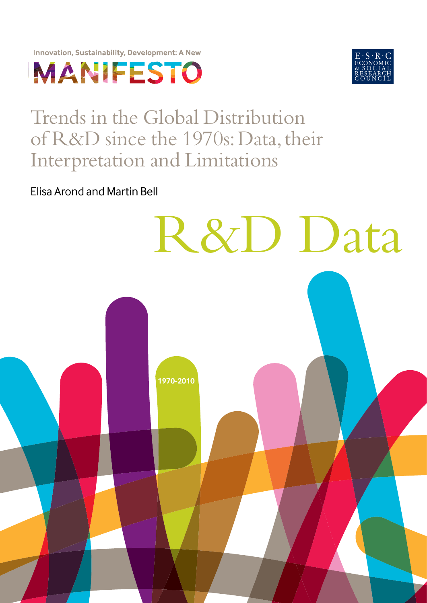





# Trends in the Global Distribution of R&D since the 1970s: Data, their Interpretation and Limitations

**1970-2010**

R&D Data

Elisa Arond and Martin Bell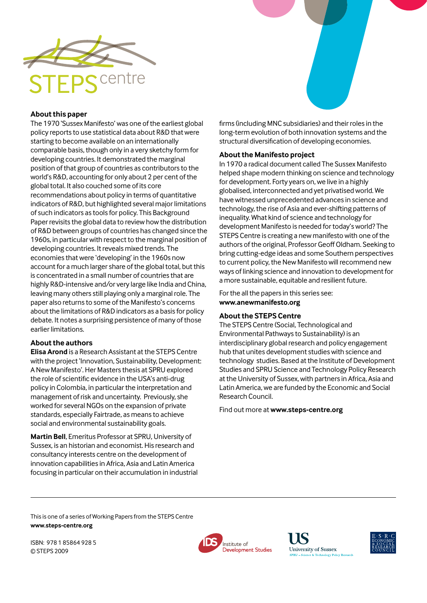

#### **About this paper**

The 1970 'Sussex Manifesto' was one of the earliest global policy reports to use statistical data about R&D that were starting to become available on an internationally comparable basis, though only in a very sketchy form for developing countries. It demonstrated the marginal position of that group of countries as contributors to the world's R&D, accounting for only about 2 per cent of the global total. It also couched some of its core recommendations about policy in terms of quantitative indicators of R&D, but highlighted several major limitations of such indicators as tools for policy. This Background Paper revisits the global data to review how the distribution of R&D between groups of countries has changed since the 1960s, in particular with respect to the marginal position of developing countries. It reveals mixed trends. The economies that were 'developing' in the 1960s now account for a much larger share of the global total, but this is concentrated in a small number of countries that are highly R&D-intensive and/or very large like India and China, leaving many others still playing only a marginal role. The paper also returns to some of the Manifesto's concerns about the limitations of R&D indicators as a basis for policy debate. It notes a surprising persistence of many of those earlier limitations.

#### **About the authors**

**Elisa Arond** is a Research Assistant at the STEPS Centre with the project 'Innovation, Sustainability, Development: A New Manifesto'. Her Masters thesis at SPRU explored the role of scientific evidence in the USA's anti-drug policy in Colombia, in particular the interpretation and management of risk and uncertainty. Previously, she worked for several NGOs on the expansion of private standards, especially Fairtrade, as means to achieve social and environmental sustainability goals.

Martin Bell, Emeritus Professor at SPRU, University of Sussex, is an historian and economist. His research and consultancy interests centre on the development of innovation capabilities in Africa, Asia and Latin America focusing in particular on their accumulation in industrial firms (including MNC subsidiaries) and their roles in the long-term evolution of both innovation systems and the structural diversification of developing economies.

#### **About the Manifesto project**

In 1970 a radical document called The Sussex Manifesto helped shape modern thinking on science and technology for development. Forty years on, we live in a highly globalised, interconnected and yet privatised world. We have witnessed unprecedented advances in science and technology, the rise of Asia and ever-shifting patterns of inequality. What kind of science and technology for development Manifesto is needed for today's world? The STEPS Centre is creating a new manifesto with one of the authors of the original, Professor Geoff Oldham. Seeking to bring cutting-edge ideas and some Southern perspectives to current policy, the New Manifesto will recommend new ways of linking science and innovation to development for a more sustainable, equitable and resilient future.

For the all the papers in this series see: **www.anewmanifesto.org**

#### **About the STEPS Centre**

The STEPS Centre (Social, Technological and Environmental Pathways to Sustainability) is an interdisciplinary global research and policy engagement hub that unites development studies with science and technology studies. Based at the Institute of Development Studies and SPRU Science and Technology Policy Research at the University of Sussex, with partners in Africa, Asia and Latin America, we are funded by the Economic and Social Research Council.

Find out more at **www.steps-centre.org**

This is one of a series of Working Papers from the STEPS Centre **www.steps-centre.org**

ISBN: 978 1 85864 928 5 © STEPS 2009





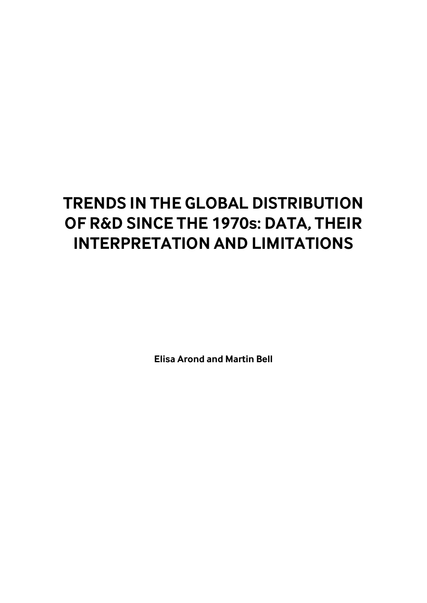# **TRENDS IN THE GLOBAL DISTRIBUTION OF R&D SINCE THE 1970s: DATA, THEIR INTERPRETATION AND LIMITATIONS**

**Elisa Arond and Martin Bell**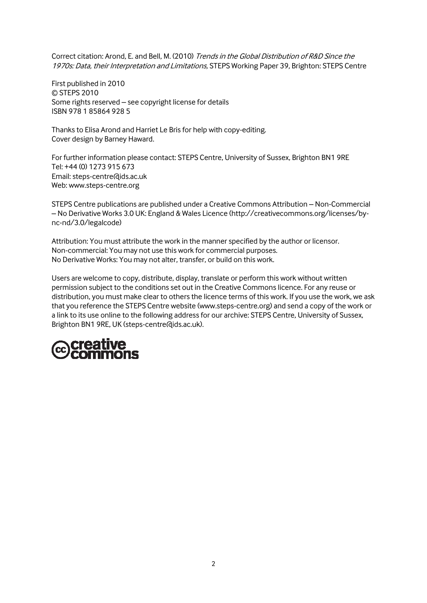Correct citation: Arond, E. and Bell, M. (2010) Trends in the Global Distribution of R&D Since the 1970s: Data, their Interpretation and Limitations, STEPS Working Paper 39, Brighton: STEPS Centre

First published in 2010 © STEPS 2010 Some rights reserved – see copyright license for details ISBN 978 1 85864 928 5

Thanks to Elisa Arond and Harriet Le Bris for help with copy-editing. Cover design by Barney Haward.

For further information please contact: STEPS Centre, University of Sussex, Brighton BN1 9RE Tel: +44 (0) 1273 915 673 Email: [steps-centre@ids.ac.uk](mailto:steps-centre@ids.ac.uk) Web: [www.steps-centre.org](http://www.steps-centre.org/)

STEPS Centre publications are published under a Creative Commons Attribution – Non-Commercial – No Derivative Works 3.0 UK: England & Wales Licence [\(http://creativecommons.org/licenses/by](http://creativecommons.org/licenses/by-nc-nd/3.0/legalcode)[nc-nd/3.0/legalcode\)](http://creativecommons.org/licenses/by-nc-nd/3.0/legalcode)

Attribution: You must attribute the work in the manner specified by the author or licensor. Non-commercial: You may not use this work for commercial purposes. No Derivative Works: You may not alter, transfer, or build on this work.

Users are welcome to copy, distribute, display, translate or perform this work without written permission subject to the conditions set out in the Creative Commons licence. For any reuse or distribution, you must make clear to others the licence terms of this work. If you use the work, we ask that you reference the STEPS Centre website [\(www.steps-centre.org\)](http://www.steps-centre.org/) and send a copy of the work or a link to its use online to the following address for our archive: STEPS Centre, University of Sussex, Brighton BN1 9RE, UK [\(steps-centre@ids.ac.uk\)](mailto:steps-centre@ids.ac.uk).

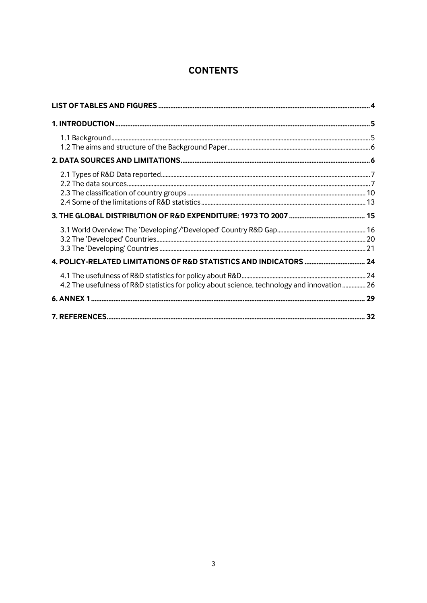# **CONTENTS**

| 4.2 The usefulness of R&D statistics for policy about science, technology and innovation 26 |  |
|---------------------------------------------------------------------------------------------|--|
|                                                                                             |  |
|                                                                                             |  |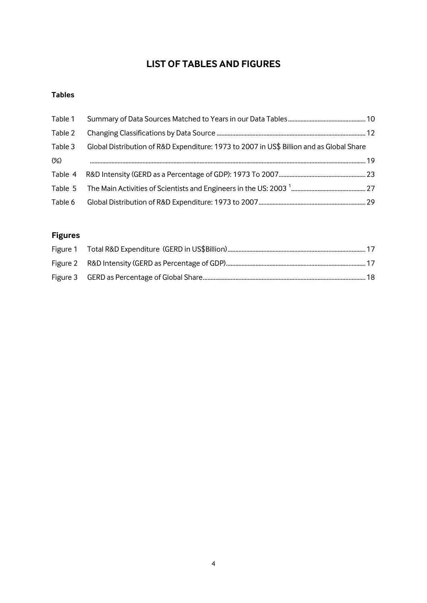# **LIST OF TABLES AND FIGURES**

# **Tables**

| Table 1 |                                                                                          |  |
|---------|------------------------------------------------------------------------------------------|--|
| Table 2 |                                                                                          |  |
| Table 3 | Global Distribution of R&D Expenditure: 1973 to 2007 in US\$ Billion and as Global Share |  |
| $(\%)$  |                                                                                          |  |
|         |                                                                                          |  |
|         |                                                                                          |  |
| Table 6 |                                                                                          |  |

# **Figures**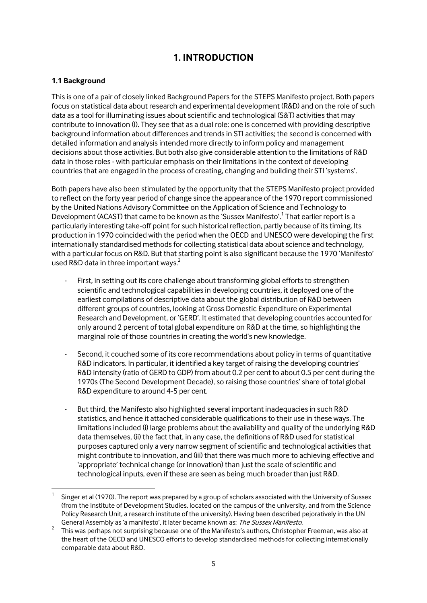# **1. INTRODUCTION**

## **1.1 Background**

1

This is one of a pair of closely linked Background Papers for the STEPS Manifesto project. Both papers focus on statistical data about research and experimental development (R&D) and on the role of such data as a tool for illuminating issues about scientific and technological (S&T) activities that may contribute to innovation (I). They see that as a dual role: one is concerned with providing descriptive background information about differences and trends in STI activities; the second is concerned with detailed information and analysis intended more directly to inform policy and management decisions about those activities. But both also give considerable attention to the limitations of R&D data in those roles - with particular emphasis on their limitations in the context of developing countries that are engaged in the process of creating, changing and building their STI 'systems'.

Both papers have also been stimulated by the opportunity that the STEPS Manifesto project provided to reflect on the forty year period of change since the appearance of the 1970 report commissioned by the United Nations Advisory Committee on the Application of Science and Technology to Development (ACAST) that came to be known as the 'Sussex Manifesto'.<sup>1</sup> That earlier report is a particularly interesting take-off point for such historical reflection, partly because of its timing. Its production in 1970 coincided with the period when the OECD and UNESCO were developing the first internationally standardised methods for collecting statistical data about science and technology, with a particular focus on R&D. But that starting point is also significant because the 1970 'Manifesto' used R&D data in three important ways. $2^2$ 

- First, in setting out its core challenge about transforming global efforts to strengthen scientific and technological capabilities in developing countries, it deployed one of the earliest compilations of descriptive data about the global distribution of R&D between different groups of countries, looking at Gross Domestic Expenditure on Experimental Research and Development, or 'GERD'. It estimated that developing countries accounted for only around 2 percent of total global expenditure on R&D at the time, so highlighting the marginal role of those countries in creating the world's new knowledge.
- Second, it couched some of its core recommendations about policy in terms of quantitative R&D indicators. In particular, it identified a key target of raising the developing countries' R&D intensity (ratio of GERD to GDP) from about 0.2 per cent to about 0.5 per cent during the 1970s (The Second Development Decade), so raising those countries' share of total global R&D expenditure to around 4-5 per cent.
- But third, the Manifesto also highlighted several important inadequacies in such R&D statistics, and hence it attached considerable qualifications to their use in these ways. The limitations included (i) large problems about the availability and quality of the underlying R&D data themselves, (ii) the fact that, in any case, the definitions of R&D used for statistical purposes captured only a very narrow segment of scientific and technological activities that might contribute to innovation, and (iii) that there was much more to achieving effective and 'appropriate' technical change (or innovation) than just the scale of scientific and technological inputs, even if these are seen as being much broader than just R&D.

<sup>1</sup> Singer et al (1970). The report was prepared by a group of scholars associated with the University of Sussex (from the Institute of Development Studies, located on the campus of the university, and from the Science Policy Research Unit, a research institute of the university). Having been described pejoratively in the UN General Assembly as 'a manifesto', it later became known as: The Sussex Manifesto.

<sup>2</sup> This was perhaps not surprising because one of the Manifesto's authors, Christopher Freeman, was also at the heart of the OECD and UNESCO efforts to develop standardised methods for collecting internationally comparable data about R&D.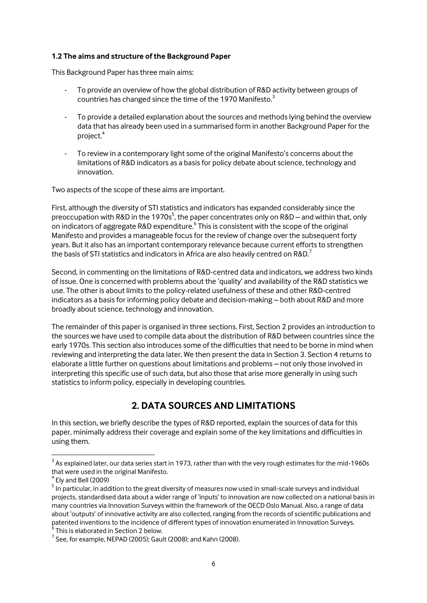#### **1.2 The aims and structure of the Background Paper**

This Background Paper has three main aims:

- To provide an overview of how the global distribution of R&D activity between groups of countries has changed since the time of the 1970 Manifesto.<sup>3</sup>
- To provide a detailed explanation about the sources and methods lying behind the overview data that has already been used in a summarised form in another Background Paper for the project.<sup>4</sup>
- To review in a contemporary light some of the original Manifesto's concerns about the limitations of R&D indicators as a basis for policy debate about science, technology and innovation.

Two aspects of the scope of these aims are important.

First, although the diversity of STI statistics and indicators has expanded considerably since the preoccupation with R&D in the 1970s<sup>5</sup>, the paper concentrates only on R&D – and within that, only on indicators of aggregate R&D expenditure.  $6$  This is consistent with the scope of the original Manifesto and provides a manageable focus for the review of change over the subsequent forty years. But it also has an important contemporary relevance because current efforts to strengthen the basis of STI statistics and indicators in Africa are also heavily centred on R&D.<sup>7</sup>

Second, in commenting on the limitations of R&D-centred data and indicators, we address two kinds of issue. One is concerned with problems about the 'quality' and availability of the R&D statistics we use. The other is about limits to the policy-related usefulness of these and other R&D-centred indicators as a basis for informing policy debate and decision-making – both about R&D and more broadly about science, technology and innovation.

The remainder of this paper is organised in three sections. First, Section 2 provides an introduction to the sources we have used to compile data about the distribution of R&D between countries since the early 1970s. This section also introduces some of the difficulties that need to be borne in mind when reviewing and interpreting the data later. We then present the data in Section 3. Section 4 returns to elaborate a little further on questions about limitations and problems – not only those involved in interpreting this specific use of such data, but also those that arise more generally in using such statistics to inform policy, especially in developing countries.

# **2. DATA SOURCES AND LIMITATIONS**

In this section, we briefly describe the types of R&D reported, explain the sources of data for this paper, minimally address their coverage and explain some of the key limitations and difficulties in using them.

1

 $^3$  As explained later, our data series start in 1973, rather than with the very rough estimates for the mid-1960s that were used in the original Manifesto.

<sup>4</sup> Ely and Bell (2009)

<sup>&</sup>lt;sup>5</sup> In particular, in addition to the great diversity of measures now used in small-scale surveys and individual projects, standardised data about a wider range of 'inputs' to innovation are now collected on a national basis in many countries via Innovation Surveys within the framework of the OECD Oslo Manual. Also, a range of data about 'outputs' of innovative activity are also collected, ranging from the records of scientific publications and patented inventions to the incidence of different types of innovation enumerated in Innovation Surveys.<br><sup>6</sup> Thia is alaberated in Section 3 helaw.

This is elaborated in Section 2 below.

 $^7$  See, for example, NEPAD (2005); Gault (2008); and Kahn (2008).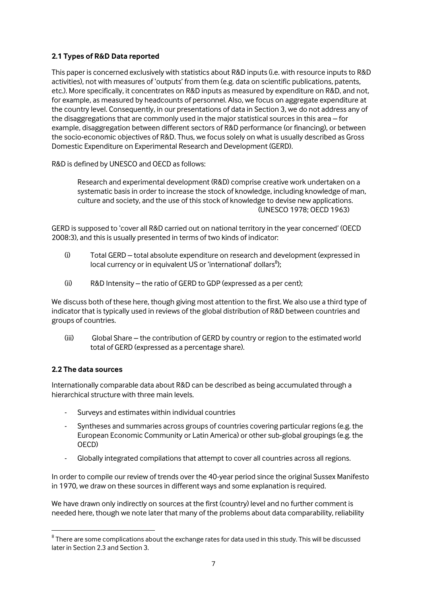## **2.1 Types of R&D Data reported**

This paper is concerned exclusively with statistics about R&D inputs (i.e. with resource inputs to R&D activities), not with measures of 'outputs' from them (e.g. data on scientific publications, patents, etc.). More specifically, it concentrates on R&D inputs as measured by expenditure on R&D, and not, for example, as measured by headcounts of personnel. Also, we focus on aggregate expenditure at the country level. Consequently, in our presentations of data in Section 3, we do not address any of the disaggregations that are commonly used in the major statistical sources in this area – for example, disaggregation between different sectors of R&D performance (or financing), or between the socio-economic objectives of R&D. Thus, we focus solely on what is usually described as Gross Domestic Expenditure on Experimental Research and Development (GERD).

R&D is defined by UNESCO and OECD as follows:

Research and experimental development (R&D) comprise creative work undertaken on a systematic basis in order to increase the stock of knowledge, including knowledge of man, culture and society, and the use of this stock of knowledge to devise new applications. (UNESCO 1978; OECD 1963)

GERD is supposed to 'cover all R&D carried out on national territory in the year concerned' (OECD 2008:3), and this is usually presented in terms of two kinds of indicator:

- (i) Total GERD total absolute expenditure on research and development (expressed in local currency or in equivalent US or `international' dollars $^8$ );
- (ii) R&D Intensity the ratio of GERD to GDP (expressed as a per cent);

We discuss both of these here, though giving most attention to the first. We also use a third type of indicator that is typically used in reviews of the global distribution of R&D between countries and groups of countries.

(iii) Global Share – the contribution of GERD by country or region to the estimated world total of GERD (expressed as a percentage share).

## **2.2 The data sources**

1

Internationally comparable data about R&D can be described as being accumulated through a hierarchical structure with three main levels.

- Surveys and estimates within individual countries
- Syntheses and summaries across groups of countries covering particular regions (e.g. the European Economic Community or Latin America) or other sub-global groupings (e.g. the OECD)
- Globally integrated compilations that attempt to cover all countries across all regions.

In order to compile our review of trends over the 40-year period since the original Sussex Manifesto in 1970, we draw on these sources in different ways and some explanation is required.

We have drawn only indirectly on sources at the first (country) level and no further comment is needed here, though we note later that many of the problems about data comparability, reliability

 $^8$  There are some complications about the exchange rates for data used in this study. This will be discussed later in Section 2.3 and Section 3.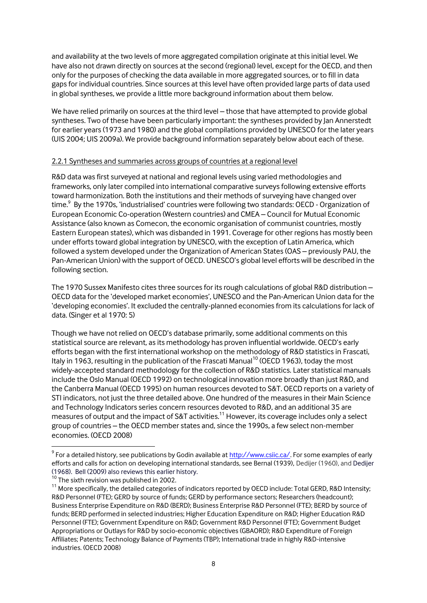and availability at the two levels of more aggregated compilation originate at this initial level. We have also not drawn directly on sources at the second (regional) level, except for the OECD, and then only for the purposes of checking the data available in more aggregated sources, or to fill in data gaps for individual countries. Since sources at this level have often provided large parts of data used in global syntheses, we provide a little more background information about them below.

We have relied primarily on sources at the third level – those that have attempted to provide global syntheses. Two of these have been particularly important: the syntheses provided by Jan Annerstedt for earlier years (1973 and 1980) and the global compilations provided by UNESCO for the later years (UIS 2004; UIS 2009a). We provide background information separately below about each of these.

#### 2.2.1 Syntheses and summaries across groups of countries at a regional level

R&D data was first surveyed at national and regional levels using varied methodologies and frameworks, only later compiled into international comparative surveys following extensive efforts toward harmonization. Both the institutions and their methods of surveying have changed over time.<sup>9</sup> By the 1970s, 'industrialised' countries were following two standards: OECD - Organization of European Economic Co-operation (Western countries) and CMEA – Council for Mutual Economic Assistance (also known as Comecon, the economic organisation of communist countries, mostly Eastern European states), which was disbanded in 1991. Coverage for other regions has mostly been under efforts toward global integration by UNESCO, with the exception of Latin America, which followed a system developed under the Organization of American States (OAS – previously PAU, the Pan-American Union) with the support of OECD. UNESCO's global level efforts will be described in the following section.

The 1970 Sussex Manifesto cites three sources for its rough calculations of global R&D distribution – OECD data for the 'developed market economies', UNESCO and the Pan-American Union data for the 'developing economies'. It excluded the centrally-planned economies from its calculations for lack of data. (Singer et al 1970: 5)

Though we have not relied on OECD's database primarily, some additional comments on this statistical source are relevant, as its methodology has proven influential worldwide. OECD's early efforts began with the first international workshop on the methodology of R&D statistics in Frascati, Italy in 1963, resulting in the publication of the Frascati Manual<sup>10</sup> (OECD 1963), today the most widely-accepted standard methodology for the collection of R&D statistics. Later statistical manuals include the Oslo Manual (OECD 1992) on technological innovation more broadly than just R&D, and the Canberra Manual (OECD 1995) on human resources devoted to S&T. OECD reports on a variety of STI indicators, not just the three detailed above. One hundred of the measures in their Main Science and Technology Indicators series concern resources devoted to R&D, and an additional 35 are measures of output and the impact of S&T activities.<sup>11</sup> However, its coverage includes only a select group of countries – the OECD member states and, since the 1990s, a few select non-member economies. (OECD 2008)

<u>.</u>

 $^9$  For a detailed history, see publications by Godin available at [http://www.csiic.ca/.](http://www.csiic.ca/) For some examples of early efforts and calls for action on developing international standards, see Bernal (1939), Dedijer (1960), and Dedijer (1968). Bell (2009) also reviews this earlier history.

<sup>&</sup>lt;sup>10</sup> The sixth revision was published in 2002.

 $11$  More specifically, the detailed categories of indicators reported by OECD include: Total GERD, R&D Intensity; R&D Personnel (FTE); GERD by source of funds; GERD by performance sectors; Researchers (headcount); Business Enterprise Expenditure on R&D (BERD); Business Enterprise R&D Personnel (FTE); BERD by source of funds; BERD performed in selected industries; Higher Education Expenditure on R&D; Higher Education R&D Personnel (FTE); Government Expenditure on R&D; Government R&D Personnel (FTE); Government Budget Appropriations or Outlays for R&D by socio-economic objectives (GBAORD); R&D Expenditure of Foreign Affiliates; Patents; Technology Balance of Payments (TBP); International trade in highly R&D-intensive industries. (OECD 2008)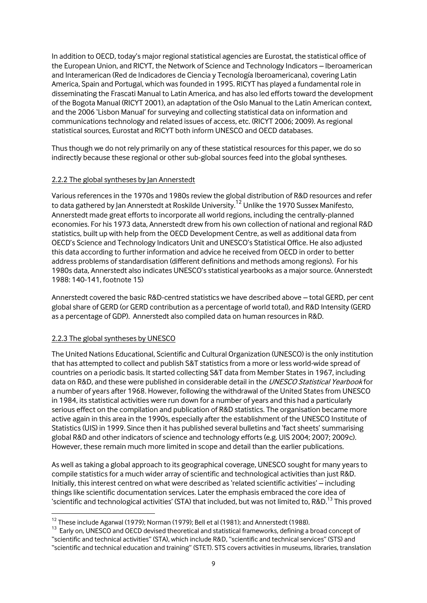In addition to OECD, today's major regional statistical agencies are Eurostat, the statistical office of the European Union, and RICYT, the Network of Science and Technology Indicators – Iberoamerican and Interamerican (Red de Indicadores de Ciencia y Tecnología Iberoamericana), covering Latin America, Spain and Portugal, which was founded in 1995. RICYT has played a fundamental role in disseminating the Frascati Manual to Latin America, and has also led efforts toward the development of the Bogota Manual (RICYT 2001), an adaptation of the Oslo Manual to the Latin American context, and the 2006 'Lisbon Manual' for surveying and collecting statistical data on information and communications technology and related issues of access, etc. (RICYT 2006; 2009). As regional statistical sources, Eurostat and RICYT both inform UNESCO and OECD databases.

Thus though we do not rely primarily on any of these statistical resources for this paper, we do so indirectly because these regional or other sub-global sources feed into the global syntheses.

#### 2.2.2 The global syntheses by Jan Annerstedt

Various references in the 1970s and 1980s review the global distribution of R&D resources and refer to data gathered by Jan Annerstedt at Roskilde University.<sup>12</sup> Unlike the 1970 Sussex Manifesto, Annerstedt made great efforts to incorporate all world regions, including the centrally-planned economies. For his 1973 data, Annerstedt drew from his own collection of national and regional R&D statistics, built up with help from the OECD Development Centre, as well as additional data from OECD's Science and Technology Indicators Unit and UNESCO's Statistical Office. He also adjusted this data according to further information and advice he received from OECD in order to better address problems of standardisation (different definitions and methods among regions). For his 1980s data, Annerstedt also indicates UNESCO's statistical yearbooks as a major source. (Annerstedt 1988: 140-141, footnote 15)

Annerstedt covered the basic R&D-centred statistics we have described above – total GERD, per cent global share of GERD (or GERD contribution as a percentage of world total), and R&D Intensity (GERD as a percentage of GDP). Annerstedt also compiled data on human resources in R&D.

## 2.2.3 The global syntheses by UNESCO

1

The United Nations Educational, Scientific and Cultural Organization (UNESCO) is the only institution that has attempted to collect and publish S&T statistics from a more or less world-wide spread of countries on a periodic basis. It started collecting S&T data from Member States in 1967, including data on R&D, and these were published in considerable detail in the UNESCO Statistical Yearbook for a number of years after 1968. However, following the withdrawal of the United States from UNESCO in 1984, its statistical activities were run down for a number of years and this had a particularly serious effect on the compilation and publication of R&D statistics. The organisation became more active again in this area in the 1990s, especially after the establishment of the UNESCO Institute of Statistics (UIS) in 1999. Since then it has published several bulletins and 'fact sheets' summarising global R&D and other indicators of science and technology efforts (e.g. UIS 2004; 2007; 2009c). However, these remain much more limited in scope and detail than the earlier publications.

As well as taking a global approach to its geographical coverage, UNESCO sought for many years to compile statistics for a much wider array of scientific and technological activities than just R&D. Initially, this interest centred on what were described as 'related scientific activities' – including things like scientific documentation services. Later the emphasis embraced the core idea of 'scientific and technological activities' (STA) that included, but was not limited to, R&D.<sup>13</sup> This proved

 $12$  These include Agarwal (1979); Norman (1979); Bell et al (1981); and Annerstedt (1988).

<sup>&</sup>lt;sup>13</sup> Early on, UNESCO and OECD devised theoretical and statistical frameworks, defining a broad concept of "scientific and technical activities" (STA), which include R&D, "scientific and technical services" (STS) and

<sup>&</sup>quot;scientific and technical education and training" (STET). STS covers activities in museums, libraries, translation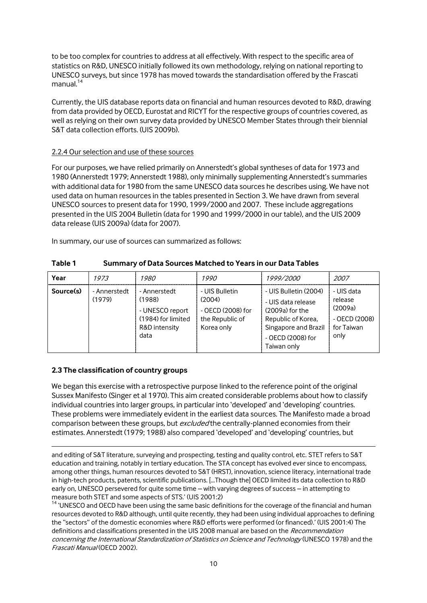to be too complex for countries to address at all effectively. With respect to the specific area of statistics on R&D, UNESCO initially followed its own methodology, relying on national reporting to UNESCO surveys, but since 1978 has moved towards the standardisation offered by the Frascati  $m$ anual. $14$ 

Currently, the UIS database reports data on financial and human resources devoted to R&D, drawing from data provided by OECD, Eurostat and RICYT for the respective groups of countries covered, as well as relying on their own survey data provided by UNESCO Member States through their biennial S&T data collection efforts. (UIS 2009b).

#### 2.2.4 Our selection and use of these sources

For our purposes, we have relied primarily on Annerstedt's global syntheses of data for 1973 and 1980 (Annerstedt 1979; Annerstedt 1988), only minimally supplementing Annerstedt's summaries with additional data for 1980 from the same UNESCO data sources he describes using. We have not used data on human resources in the tables presented in Section 3. We have drawn from several UNESCO sources to present data for 1990, 1999/2000 and 2007. These include aggregations presented in the UIS 2004 Bulletin (data for 1990 and 1999/2000 in our table), and the UIS 2009 data release (UIS 2009a) (data for 2007).

In summary, our use of sources can summarized as follows:

| Year      | 1973                   | <i>1980</i>                                                                              | <i>1990</i>                                                                    | 1999/2000                                                                                                                                          | <i>2007</i>                                                             |
|-----------|------------------------|------------------------------------------------------------------------------------------|--------------------------------------------------------------------------------|----------------------------------------------------------------------------------------------------------------------------------------------------|-------------------------------------------------------------------------|
| Source(s) | - Annerstedt<br>(1979) | - Annerstedt<br>(1988)<br>- UNESCO report<br>(1984) for limited<br>R&D intensity<br>data | - UIS Bulletin<br>(2004)<br>- OECD (2008) for<br>the Republic of<br>Korea only | - UIS Bulletin (2004)<br>- UIS data release<br>$(2009a)$ for the<br>Republic of Korea,<br>Singapore and Brazil<br>- OECD (2008) for<br>Taiwan only | - UIS data<br>release<br>(2009a)<br>- OECD (2008)<br>for Taiwan<br>only |

#### <span id="page-11-0"></span>**Table 1 Summary of Data Sources Matched to Years in our Data Tables**

## **2.3 The classification of country groups**

<u>.</u>

We began this exercise with a retrospective purpose linked to the reference point of the original Sussex Manifesto (Singer et al 1970). This aim created considerable problems about how to classify individual countries into larger groups, in particular into 'developed' and 'developing' countries. These problems were immediately evident in the earliest data sources. The Manifesto made a broad comparison between these groups, but *excluded* the centrally-planned economies from their estimates. Annerstedt (1979; 1988) also compared 'developed' and 'developing' countries, but

and editing of S&T literature, surveying and prospecting, testing and quality control, etc. STET refers to S&T education and training, notably in tertiary education. The STA concept has evolved ever since to encompass, among other things, human resources devoted to S&T (HRST), innovation, science literacy, international trade in high-tech products, patents, scientific publications. [...Though the] OECD limited its data collection to R&D early on, UNESCO persevered for quite some time – with varying degrees of success – in attempting to measure both STET and some aspects of STS.' (UIS 2001:2)

<sup>14</sup> 'UNESCO and OECD have been using the same basic definitions for the coverage of the financial and human resources devoted to R&D although, until quite recently, they had been using individual approaches to defining the "sectors" of the domestic economies where R&D efforts were performed (or financed).' (UIS 2001:4) The definitions and classifications presented in the UIS 2008 manual are based on the Recommendation concerning the International Standardization of Statistics on Science and Technology (UNESCO 1978) and the Frascati Manual (OECD 2002).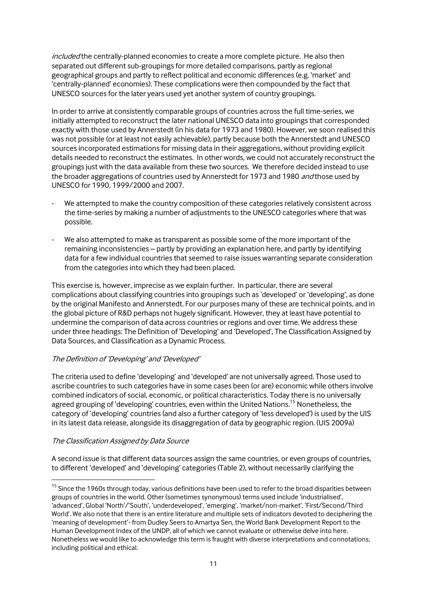included the centrally-planned economies to create a more complete picture. He also then separated out different sub-groupings for more detailed comparisons, partly as regional geographical groups and partly to reflect political and economic differences (e.g. 'market' and 'centrally-planned' economies). These complications were then compounded by the fact that UNESCO sources for the later years used yet another system of country groupings.

In order to arrive at consistently comparable groups of countries across the full time-series, we initially attempted to reconstruct the later national UNESCO data into groupings that corresponded exactly with those used by Annerstedt (in his data for 1973 and 1980). However, we soon realised this was not possible (or at least not easily achievable), partly because both the Annerstedt and UNESCO sources incorporated estimations for missing data in their aggregations, without providing explicit details needed to reconstruct the estimates. In other words, we could not accurately reconstruct the groupings just with the data available from these two sources. We therefore decided instead to use the broader aggregations of countries used by Annerstedt for 1973 and 1980 and those used by UNESCO for 1990, 1999/2000 and 2007.

- We attempted to make the country composition of these categories relatively consistent across the time-series by making a number of adjustments to the UNESCO categories where that was possible.
- We also attempted to make as transparent as possible some of the more important of the remaining inconsistencies – partly by providing an explanation here, and partly by identifying data for a few individual countries that seemed to raise issues warranting separate consideration from the categories into which they had been placed.

This exercise is, however, imprecise as we explain further. In particular, there are several complications about classifying countries into groupings such as 'developed' or 'developing', as done by the original Manifesto and Annerstedt. For our purposes many of these are technical points, and in the global picture of R&D perhaps not hugely significant. However, they at least have potential to undermine the comparison of data across countries or regions and over time. We address these under three headings: The Definition of 'Developing' and 'Developed', The Classification Assigned by Data Sources, and Classification as a Dynamic Process.

## The Definition of 'Developing' and 'Developed'

The criteria used to define 'developing' and 'developed' are not universally agreed. Those used to ascribe countries to such categories have in some cases been (or are) economic while others involve combined indicators of social, economic, or political characteristics. Today there is no universally agreed grouping of 'developing' countries, even within the United Nations.<sup>15</sup> Nonetheless, the category of 'developing' countries (and also a further category of 'less developed') is used by the UIS in its latest data release, alongside its disaggregation of data by geographic region. (UIS 2009a)

#### The Classification Assigned by Data Source

1

A second issue is that different data sources assign the same countries, or even groups of countries, to different 'developed' and 'developing' categories (Table 2), without necessarily clarifying the

<sup>&</sup>lt;sup>15</sup> Since the 1960s through today, various definitions have been used to refer to the broad disparities between groups of countries in the world. Other (sometimes synonymous) terms used include 'industrialised', 'advanced', Global 'North'/'South', 'underdeveloped', 'emerging', 'market/non-market', 'First/Second/Third World'. We also note that there is an entire literature and multiple sets of indicators devoted to deciphering the 'meaning of development'- from Dudley Seers to Amartya Sen, the World Bank Development Report to the Human Development Index of the UNDP, all of which we cannot evaluate or otherwise delve into here. Nonetheless we would like to acknowledge this term is fraught with diverse interpretations and connotations, including political and ethical.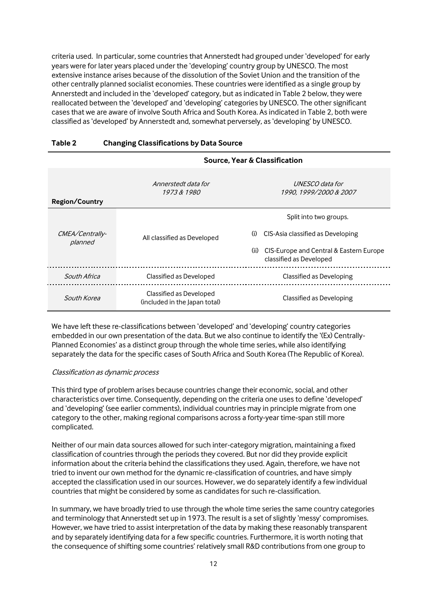criteria used. In particular, some countries that Annerstedt had grouped under 'developed' for early years were for later years placed under the 'developing' country group by UNESCO. The most extensive instance arises because of the dissolution of the Soviet Union and the transition of the other centrally planned socialist economies. These countries were identified as a single group by Annerstedt and included in the 'developed' category, but as indicated in Table 2 below, they were reallocated between the 'developed' and 'developing' categories by UNESCO. The other significant cases that we are aware of involve South Africa and South Korea. As indicated in Table 2, both were classified as 'developed' by Annerstedt and, somewhat perversely, as 'developing' by UNESCO.

|                            |                                                          | Source, Year & Classification                                              |
|----------------------------|----------------------------------------------------------|----------------------------------------------------------------------------|
| <b>Region/Country</b>      | Annerstedt data for<br>1973 & 1980                       | <i>UNESCO data for</i><br>1990, 1999/2000 & 2007                           |
|                            |                                                          | Split into two groups.                                                     |
| CMEA/Centrally-<br>planned | All classified as Developed                              | CIS-Asia classified as Developing<br>(i)                                   |
|                            |                                                          | CIS-Europe and Central & Eastern Europe<br>(ii)<br>classified as Developed |
| South Africa               | Classified as Developed                                  | Classified as Developing                                                   |
| South Korea                | Classified as Developed<br>(included in the Japan total) | Classified as Developing                                                   |

#### <span id="page-13-0"></span>**Table 2 Changing Classifications by Data Source**

We have left these re-classifications between 'developed' and 'developing' country categories embedded in our own presentation of the data. But we also continue to identify the '(Ex) Centrally-Planned Economies' as a distinct group through the whole time series, while also identifying separately the data for the specific cases of South Africa and South Korea (The Republic of Korea).

#### Classification as dynamic process

This third type of problem arises because countries change their economic, social, and other characteristics over time. Consequently, depending on the criteria one uses to define 'developed' and 'developing' (see earlier comments), individual countries may in principle migrate from one category to the other, making regional comparisons across a forty-year time-span still more complicated.

Neither of our main data sources allowed for such inter-category migration, maintaining a fixed classification of countries through the periods they covered. But nor did they provide explicit information about the criteria behind the classifications they used. Again, therefore, we have not tried to invent our own method for the dynamic re-classification of countries, and have simply accepted the classification used in our sources. However, we do separately identify a few individual countries that might be considered by some as candidates for such re-classification.

In summary, we have broadly tried to use through the whole time series the same country categories and terminology that Annerstedt set up in 1973. The result is a set of slightly 'messy' compromises. However, we have tried to assist interpretation of the data by making these reasonably transparent and by separately identifying data for a few specific countries. Furthermore, it is worth noting that the consequence of shifting some countries' relatively small R&D contributions from one group to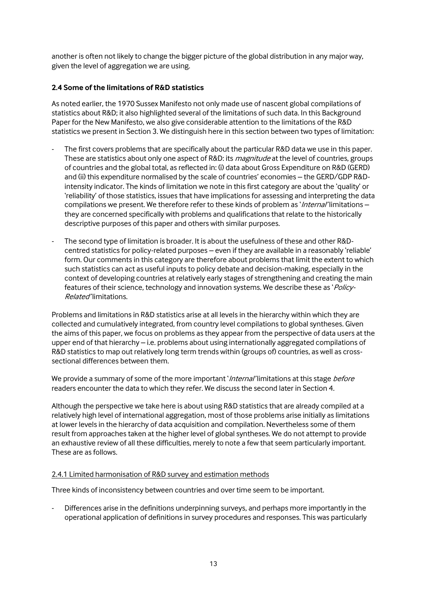another is often not likely to change the bigger picture of the global distribution in any major way, given the level of aggregation we are using.

## **2.4 Some of the limitations of R&D statistics**

As noted earlier, the 1970 Sussex Manifesto not only made use of nascent global compilations of statistics about R&D; it also highlighted several of the limitations of such data. In this Background Paper for the New Manifesto, we also give considerable attention to the limitations of the R&D statistics we present in Section 3. We distinguish here in this section between two types of limitation:

- The first covers problems that are specifically about the particular R&D data we use in this paper. These are statistics about only one aspect of R&D: its *magnitude* at the level of countries, groups of countries and the global total, as reflected in: (i) data about Gross Expenditure on R&D (GERD) and (ii) this expenditure normalised by the scale of countries' economies – the GERD/GDP R&Dintensity indicator. The kinds of limitation we note in this first category are about the 'quality' or 'reliability' of those statistics, issues that have implications for assessing and interpreting the data compilations we present. We therefore refer to these kinds of problem as 'Internal' limitations they are concerned specifically with problems and qualifications that relate to the historically descriptive purposes of this paper and others with similar purposes.
- The second type of limitation is broader. It is about the usefulness of these and other R&Dcentred statistics for policy-related purposes – even if they are available in a reasonably 'reliable' form. Our comments in this category are therefore about problems that limit the extent to which such statistics can act as useful inputs to policy debate and decision-making, especially in the context of developing countries at relatively early stages of strengthening and creating the main features of their science, technology and innovation systems. We describe these as 'Policy-Related' limitations.

Problems and limitations in R&D statistics arise at all levels in the hierarchy within which they are collected and cumulatively integrated, from country level compilations to global syntheses. Given the aims of this paper, we focus on problems as they appear from the perspective of data users at the upper end of that hierarchy – i.e. problems about using internationally aggregated compilations of R&D statistics to map out relatively long term trends within (groups of) countries, as well as crosssectional differences between them.

We provide a summary of some of the more important 'Internal' limitations at this stage before readers encounter the data to which they refer. We discuss the second later in Section 4.

Although the perspective we take here is about using R&D statistics that are already compiled at a relatively high level of international aggregation, most of those problems arise initially as limitations at lower levels in the hierarchy of data acquisition and compilation. Nevertheless some of them result from approaches taken at the higher level of global syntheses. We do not attempt to provide an exhaustive review of all these difficulties, merely to note a few that seem particularly important. These are as follows.

## 2.4.1 Limited harmonisation of R&D survey and estimation methods

Three kinds of inconsistency between countries and over time seem to be important.

Differences arise in the definitions underpinning surveys, and perhaps more importantly in the operational application of definitions in survey procedures and responses. This was particularly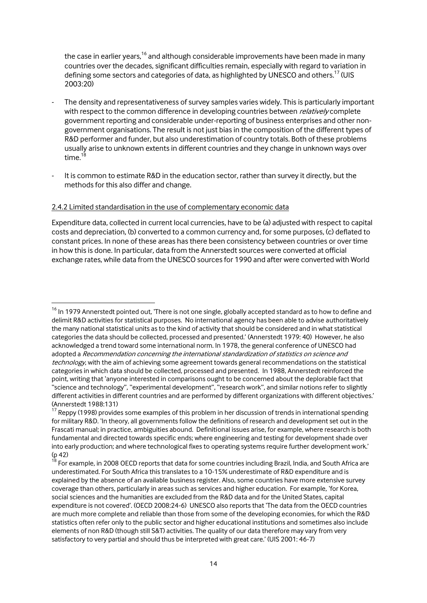the case in earlier years,<sup>16</sup> and although considerable improvements have been made in many countries over the decades, significant difficulties remain, especially with regard to variation in defining some sectors and categories of data, as highlighted by UNESCO and others.<sup>17</sup> (UIS 2003:20)

- The density and representativeness of survey samples varies widely. This is particularly important with respect to the common difference in developing countries between *relatively* complete government reporting and considerable under-reporting of business enterprises and other nongovernment organisations. The result is not just bias in the composition of the different types of R&D performer and funder, but also underestimation of country totals. Both of these problems usually arise to unknown extents in different countries and they change in unknown ways over time.<sup>18</sup>
- It is common to estimate R&D in the education sector, rather than survey it directly, but the methods for this also differ and change.

#### 2.4.2 Limited standardisation in the use of complementary economic data

1

Expenditure data, collected in current local currencies, have to be (a) adjusted with respect to capital costs and depreciation, (b) converted to a common currency and, for some purposes, (c) deflated to constant prices. In none of these areas has there been consistency between countries or over time in how this is done. In particular, data from the Annerstedt sources were converted at official exchange rates, while data from the UNESCO sources for 1990 and after were converted with World

 $16$  In 1979 Annerstedt pointed out, 'There is not one single, globally accepted standard as to how to define and delimit R&D activities for statistical purposes. No international agency has been able to advise authoritatively the many national statistical units as to the kind of activity that should be considered and in what statistical categories the data should be collected, processed and presented.' (Annerstedt 1979: 40) However, he also acknowledged a trend toward some international norm. In 1978, the general conference of UNESCO had adopted a Recommendation concerning the international standardization of statistics on science and technology, with the aim of achieving some agreement towards general recommendations on the statistical categories in which data should be collected, processed and presented. In 1988, Annerstedt reinforced the point, writing that 'anyone interested in comparisons ought to be concerned about the deplorable fact that "science and technology", "experimental development", "research work", and similar notions refer to slightly different activities in different countries and are performed by different organizations with different objectives.' (Annerstedt 1988:131)

 $17$  Reppy (1998) provides some examples of this problem in her discussion of trends in international spending for military R&D. 'In theory, all governments follow the definitions of research and development set out in the Frascati manual; in practice, ambiguities abound. Definitional issues arise, for example, where research is both fundamental and directed towards specific ends; where engineering and testing for development shade over into early production; and where technological fixes to operating systems require further development work.' (p 42)

 $^{18}$  For example, in 2008 OECD reports that data for some countries including Brazil, India, and South Africa are underestimated. For South Africa this translates to a 10-15% underestimate of R&D expenditure and is explained by the absence of an available business register. Also, some countries have more extensive survey coverage than others, particularly in areas such as services and higher education. For example, 'for Korea, social sciences and the humanities are excluded from the R&D data and for the United States, capital expenditure is not covered'. (OECD 2008:24-6) UNESCO also reports that 'The data from the OECD countries are much more complete and reliable than those from some of the developing economies, for which the R&D statistics often refer only to the public sector and higher educational institutions and sometimes also include elements of non R&D (though still S&T) activities. The quality of our data therefore may vary from very satisfactory to very partial and should thus be interpreted with great care.' (UIS 2001: 46-7)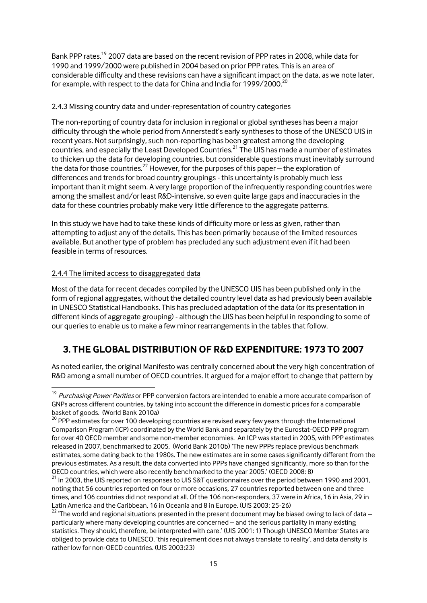Bank PPP rates.<sup>19</sup> 2007 data are based on the recent revision of PPP rates in 2008, while data for 1990 and 1999/2000 were published in 2004 based on prior PPP rates. This is an area of considerable difficulty and these revisions can have a significant impact on the data, as we note later, for example, with respect to the data for China and India for 1999/2000.<sup>20</sup>

#### 2.4.3 Missing country data and under-representation of country categories

The non-reporting of country data for inclusion in regional or global syntheses has been a major difficulty through the whole period from Annerstedt's early syntheses to those of the UNESCO UIS in recent years. Not surprisingly, such non-reporting has been greatest among the developing countries, and especially the Least Developed Countries.<sup>21</sup> The UIS has made a number of estimates to thicken up the data for developing countries, but considerable questions must inevitably surround the data for those countries.<sup>22</sup> However, for the purposes of this paper – the exploration of differences and trends for broad country groupings - this uncertainty is probably much less important than it might seem. A very large proportion of the infrequently responding countries were among the smallest and/or least R&D-intensive, so even quite large gaps and inaccuracies in the data for these countries probably make very little difference to the aggregate patterns.

In this study we have had to take these kinds of difficulty more or less as given, rather than attempting to adjust any of the details. This has been primarily because of the limited resources available. But another type of problem has precluded any such adjustment even if it had been feasible in terms of resources.

## 2.4.4 The limited access to disaggregated data

1

Most of the data for recent decades compiled by the UNESCO UIS has been published only in the form of regional aggregates, without the detailed country level data as had previously been available in UNESCO Statistical Handbooks. This has precluded adaptation of the data (or its presentation in different kinds of aggregate grouping) - although the UIS has been helpful in responding to some of our queries to enable us to make a few minor rearrangements in the tables that follow.

# **3. THE GLOBAL DISTRIBUTION OF R&D EXPENDITURE: 1973 TO 2007**

As noted earlier, the original Manifesto was centrally concerned about the very high concentration of R&D among a small number of OECD countries. It argued for a major effort to change that pattern by

<sup>&</sup>lt;sup>19</sup> Purchasing Power Parities or PPP conversion factors are intended to enable a more accurate comparison of GNPs across different countries, by taking into account the difference in domestic prices for a comparable basket of goods. (World Bank 2010a)

 $20$  PPP estimates for over 100 developing countries are revised every few years through the International Comparison Program (ICP) coordinated by the World Bank and separately by the Eurostat-OECD PPP program for over 40 OECD member and some non-member economies. An ICP was started in 2005, with PPP estimates released in 2007, benchmarked to 2005. (World Bank 2010b) 'The new PPPs replace previous benchmark estimates, some dating back to the 1980s. The new estimates are in some cases significantly different from the previous estimates. As a result, the data converted into PPPs have changed significantly, more so than for the OECD countries, which were also recently benchmarked to the year 2005.' (OECD 2008: 8)

 $^{21}$  In 2003, the UIS reported on responses to UIS S&T questionnaires over the period between 1990 and 2001, noting that 56 countries reported on four or more occasions, 27 countries reported between one and three times, and 106 countries did not respond at all. Of the 106 non-responders, 37 were in Africa, 16 in Asia, 29 in Latin America and the Caribbean, 16 in Oceania and 8 in Europe. (UIS 2003: 25-26)

<sup>&</sup>lt;sup>22</sup> 'The world and regional situations presented in the present document may be biased owing to lack of data – particularly where many developing countries are concerned – and the serious partiality in many existing statistics. They should, therefore, be interpreted with care.' (UIS 2001: 1) Though UNESCO Member States are obliged to provide data to UNESCO, 'this requirement does not always translate to reality', and data density is rather low for non-OECD countries. (UIS 2003:23)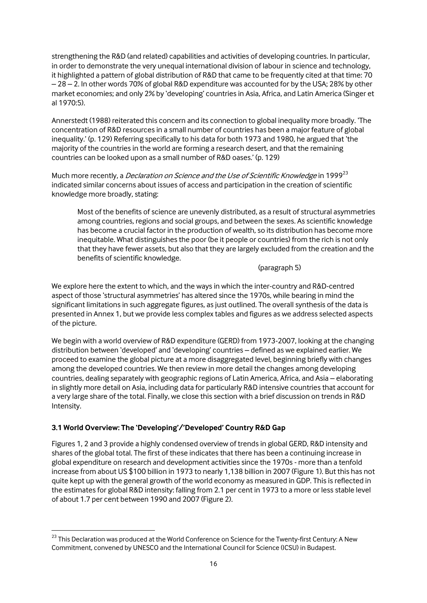strengthening the R&D (and related) capabilities and activities of developing countries. In particular, in order to demonstrate the very unequal international division of labour in science and technology, it highlighted a pattern of global distribution of R&D that came to be frequently cited at that time: 70 – 28 – 2. In other words 70% of global R&D expenditure was accounted for by the USA; 28% by other market economies; and only 2% by 'developing' countries in Asia, Africa, and Latin America (Singer et al 1970:5).

Annerstedt (1988) reiterated this concern and its connection to global inequality more broadly. 'The concentration of R&D resources in a small number of countries has been a major feature of global inequality.' (p. 129) Referring specifically to his data for both 1973 and 1980, he argued that 'the majority of the countries in the world are forming a research desert, and that the remaining countries can be looked upon as a small number of R&D oases.' (p. 129)

Much more recently, a *Declaration on Science and the Use of Scientific Knowledge* in 1999<sup>23</sup> indicated similar concerns about issues of access and participation in the creation of scientific knowledge more broadly, stating:

Most of the benefits of science are unevenly distributed, as a result of structural asymmetries among countries, regions and social groups, and between the sexes. As scientific knowledge has become a crucial factor in the production of wealth, so its distribution has become more inequitable. What distinguishes the poor (be it people or countries) from the rich is not only that they have fewer assets, but also that they are largely excluded from the creation and the benefits of scientific knowledge.

#### (paragraph 5)

We explore here the extent to which, and the ways in which the inter-country and R&D-centred aspect of those 'structural asymmetries' has altered since the 1970s, while bearing in mind the significant limitations in such aggregate figures, as just outlined. The overall synthesis of the data is presented in Annex 1, but we provide less complex tables and figures as we address selected aspects of the picture.

We begin with a world overview of R&D expenditure (GERD) from 1973-2007, looking at the changing distribution between 'developed' and 'developing' countries – defined as we explained earlier. We proceed to examine the global picture at a more disaggregated level, beginning briefly with changes among the developed countries. We then review in more detail the changes among developing countries, dealing separately with geographic regions of Latin America, Africa, and Asia – elaborating in slightly more detail on Asia, including data for particularly R&D intensive countries that account for a very large share of the total. Finally, we close this section with a brief discussion on trends in R&D Intensity.

# **3.1 World Overview: The 'Developing'/'Developed' Country R&D Gap**

1

Figures 1, 2 and 3 provide a highly condensed overview of trends in global GERD, R&D intensity and shares of the global total. The first of these indicates that there has been a continuing increase in global expenditure on research and development activities since the 1970s - more than a tenfold increase from about US \$100 billion in 1973 to nearly 1,138 billion in 2007 (Figure 1). But this has not quite kept up with the general growth of the world economy as measured in GDP. This is reflected in the estimates for global R&D intensity: falling from 2.1 per cent in 1973 to a more or less stable level of about 1.7 per cent between 1990 and 2007 (Figure 2).

<sup>&</sup>lt;sup>23</sup> This Declaration was produced at the World Conference on Science for the Twenty-first Century: A New Commitment, convened by UNESCO and the International Council for Science (ICSU) in Budapest.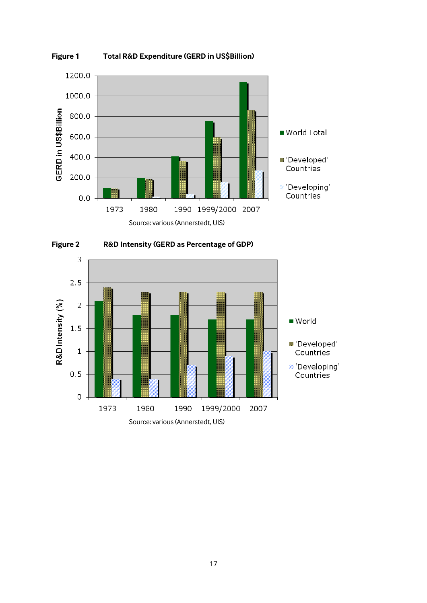

<span id="page-18-0"></span>

<span id="page-18-2"></span><span id="page-18-1"></span>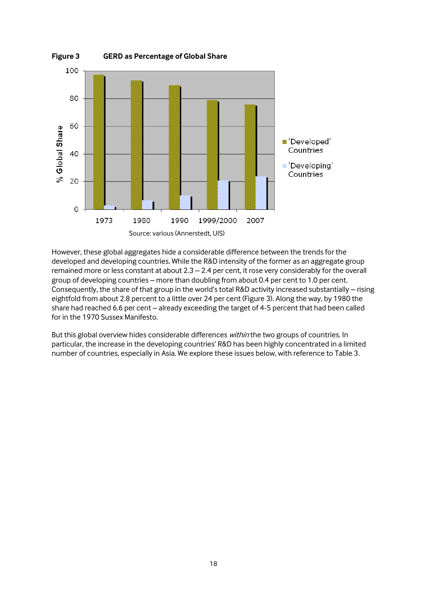

However, these global aggregates hide a considerable difference between the trends for the developed and developing countries. While the R&D intensity of the former as an aggregate group remained more or less constant at about 2.3 – 2.4 per cent, it rose very considerably for the overall group of developing countries – more than doubling from about 0.4 per cent to 1.0 per cent. Consequently, the share of that group in the world's total R&D activity increased substantially – rising eightfold from about 2.8 percent to a little over 24 per cent (Figure 3). Along the way, by 1980 the share had reached 6.6 per cent – already exceeding the target of 4-5 percent that had been called for in the 1970 Sussex Manifesto.

But this global overview hides considerable differences *within* the two groups of countries. In particular, the increase in the developing countries' R&D has been highly concentrated in a limited number of countries, especially in Asia. We explore these issues below, with reference to Table 3.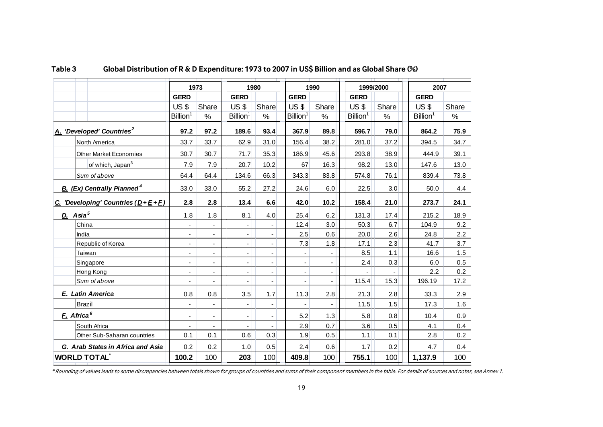|                                               | 1973                         |                          | 1980                 |                          | 1990                     |       |                      | 1999/2000 | 2007                 |       |  |
|-----------------------------------------------|------------------------------|--------------------------|----------------------|--------------------------|--------------------------|-------|----------------------|-----------|----------------------|-------|--|
|                                               | <b>GERD</b>                  |                          | <b>GERD</b>          |                          | <b>GERD</b>              |       | <b>GERD</b>          |           | <b>GERD</b>          |       |  |
|                                               | $US$ \$                      | Share                    | $US$ \$              | Share                    | $US$ \$                  | Share | <b>US \$</b>         | Share     | <b>US \$</b>         | Share |  |
|                                               | Billion <sup>1</sup>         | $\%$                     | Billion <sup>1</sup> | $\%$                     | Billion <sup>1</sup>     | $\%$  | Billion <sup>1</sup> | $\%$      | Billion <sup>1</sup> | %     |  |
| A. 'Developed' Countries <sup>2</sup>         | 97.2                         | 97.2                     | 189.6                | 93.4                     | 367.9                    | 89.8  | 596.7                | 79.0      | 864.2                | 75.9  |  |
| North America                                 | 33.7                         | 33.7                     | 62.9                 | 31.0                     | 156.4                    | 38.2  | 281.0                | 37.2      | 394.5                | 34.7  |  |
| <b>Other Market Economies</b>                 | 30.7                         | 30.7                     | 71.7                 | 35.3                     | 186.9                    | 45.6  | 293.8                | 38.9      | 444.9                | 39.1  |  |
| of which, Japan <sup>3</sup>                  | 7.9                          | 7.9                      | 20.7                 | 10.2                     | 67                       | 16.3  | 98.2                 | 13.0      | 147.6                | 13.0  |  |
| Sum of above                                  | 64.4                         | 64.4                     | 134.6                | 66.3                     | 343.3                    | 83.8  | 574.8                | 76.1      | 839.4                | 73.8  |  |
| <b>B.</b> (Ex) Centrally Planned <sup>4</sup> | 33.0                         | 33.0                     | 55.2                 | 27.2                     | 24.6                     | 6.0   | 22.5                 | 3.0       | 50.0                 | 4.4   |  |
| C. 'Developing' Countries $(D + E + F)$       | 2.8                          | 2.8                      | 13.4                 | 6.6                      | 42.0                     | 10.2  | 158.4                | 21.0      | 273.7                | 24.1  |  |
| D. Asia <sup>5</sup>                          | 1.8                          | 1.8                      | 8.1                  | 4.0                      | 25.4                     | 6.2   | 131.3                | 17.4      | 215.2                | 18.9  |  |
| China                                         | $\frac{1}{2}$                |                          |                      |                          | 12.4                     | 3.0   | 50.3                 | 6.7       | 104.9                | 9.2   |  |
| India                                         | $\blacksquare$               | $\overline{\phantom{a}}$ | ÷.                   | $\overline{\phantom{a}}$ | 2.5                      | 0.6   | 20.0                 | 2.6       | 24.8                 | 2.2   |  |
| Republic of Korea                             | $\frac{1}{2}$                | $\mathbf{r}$             | ä,                   | $\blacksquare$           | 7.3                      | 1.8   | 17.1                 | 2.3       | 41.7                 | 3.7   |  |
| Taiwan                                        | $\blacksquare$               | $\blacksquare$           |                      | $\overline{\phantom{a}}$ |                          |       | 8.5                  | 1.1       | 16.6                 | 1.5   |  |
| Singapore                                     | $\overline{a}$               | ä,                       |                      | $\blacksquare$           | ÷,                       |       | 2.4                  | 0.3       | 6.0                  | 0.5   |  |
| Hong Kong                                     | $\qquad \qquad \blacksquare$ | $\overline{\phantom{a}}$ |                      | $\overline{\phantom{a}}$ | $\overline{\phantom{a}}$ |       |                      |           | 2.2                  | 0.2   |  |
| Sum of above                                  |                              |                          |                      |                          |                          |       | 115.4                | 15.3      | 196.19               | 17.2  |  |
| E. Latin America                              | 0.8                          | 0.8                      | 3.5                  | 1.7                      | 11.3                     | 2.8   | 21.3                 | 2.8       | 33.3                 | 2.9   |  |
| <b>Brazil</b>                                 | $\overline{a}$               |                          |                      |                          |                          |       | 11.5                 | 1.5       | 17.3                 | 1.6   |  |
| F. Africa <sup>6</sup>                        | $\blacksquare$               | $\blacksquare$           |                      |                          | 5.2                      | 1.3   | 5.8                  | 0.8       | 10.4                 | 0.9   |  |
| South Africa                                  | $\blacksquare$               |                          |                      | $\blacksquare$           | 2.9                      | 0.7   | 3.6                  | 0.5       | 4.1                  | 0.4   |  |
| Other Sub-Saharan countries                   | 0.1                          | 0.1                      | 0.6                  | 0.3                      | 1.9                      | 0.5   | 1.1                  | 0.1       | 2.8                  | 0.2   |  |
| G. Arab States in Africa and Asia             | 0.2                          | 0.2                      | 1.0                  | 0.5                      | 2.4                      | 0.6   | 1.7                  | 0.2       | 4.7                  | 0.4   |  |
| <b>WORLD TOTAL</b>                            | 100.2                        | 100                      | 203                  | 100                      | 409.8                    | 100   | 755.1                | 100       | 1,137.9              | 100   |  |

## **Table 3 Global Distribution of R & D Expenditure: 1973 to 2007 in US\$ Billion and as Global Share (%)**

<span id="page-20-0"></span>\* Rounding of values leads to some discrepancies between totals shown for groups of countries and sums of their component members in the table. For details of sources and notes, see Annex 1.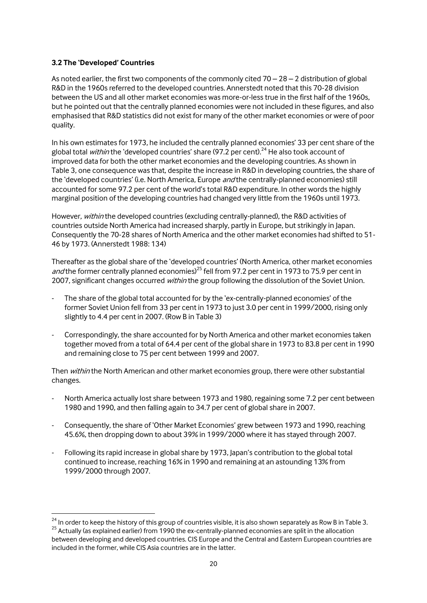#### **3.2 The 'Developed' Countries**

1

As noted earlier, the first two components of the commonly cited  $70 - 28 - 2$  distribution of global R&D in the 1960s referred to the developed countries. Annerstedt noted that this 70-28 division between the US and all other market economies was more-or-less true in the first half of the 1960s, but he pointed out that the centrally planned economies were not included in these figures, and also emphasised that R&D statistics did not exist for many of the other market economies or were of poor quality.

In his own estimates for 1973, he included the centrally planned economies' 33 per cent share of the global total within the 'developed countries' share (97.2 per cent).<sup>24</sup> He also took account of improved data for both the other market economies and the developing countries. As shown in Table 3, one consequence was that, despite the increase in R&D in developing countries, the share of the 'developed countries' (i.e. North America, Europe and the centrally-planned economies) still accounted for some 97.2 per cent of the world's total R&D expenditure. In other words the highly marginal position of the developing countries had changed very little from the 1960s until 1973.

However, within the developed countries (excluding centrally-planned), the R&D activities of countries outside North America had increased sharply, partly in Europe, but strikingly in Japan. Consequently the 70-28 shares of North America and the other market economies had shifted to 51- 46 by 1973. (Annerstedt 1988: 134)

Thereafter as the global share of the 'developed countries' (North America, other market economies and the former centrally planned economies)<sup>25</sup> fell from 97.2 per cent in 1973 to 75.9 per cent in 2007, significant changes occurred within the group following the dissolution of the Soviet Union.

- The share of the global total accounted for by the 'ex-centrally-planned economies' of the former Soviet Union fell from 33 per cent in 1973 to just 3.0 per cent in 1999/2000, rising only slightly to 4.4 per cent in 2007. (Row B in Table 3)
- Correspondingly, the share accounted for by North America and other market economies taken together moved from a total of 64.4 per cent of the global share in 1973 to 83.8 per cent in 1990 and remaining close to 75 per cent between 1999 and 2007.

Then within the North American and other market economies group, there were other substantial changes.

- North America actually lost share between 1973 and 1980, regaining some 7.2 per cent between 1980 and 1990, and then falling again to 34.7 per cent of global share in 2007.
- Consequently, the share of 'Other Market Economies' grew between 1973 and 1990, reaching 45.6%, then dropping down to about 39% in 1999/2000 where it has stayed through 2007.
- Following its rapid increase in global share by 1973, Japan's contribution to the global total continued to increase, reaching 16% in 1990 and remaining at an astounding 13% from 1999/2000 through 2007.

 $^{24}$  In order to keep the history of this group of countries visible, it is also shown separately as Row B in Table 3. <sup>25</sup> Actually (as explained earlier) from 1990 the ex-centrally-planned economies are split in the allocation between developing and developed countries. CIS Europe and the Central and Eastern European countries are included in the former, while CIS Asia countries are in the latter.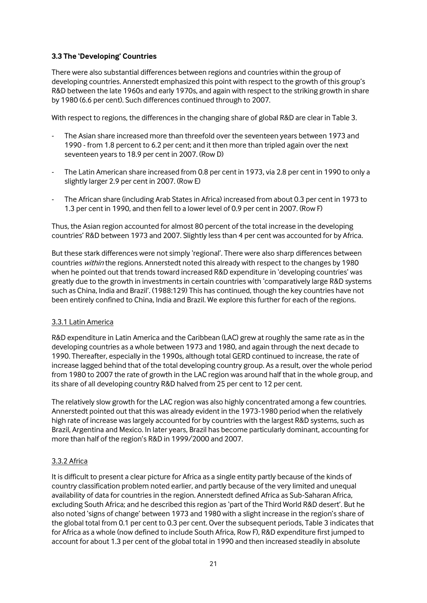## **3.3 The 'Developing' Countries**

There were also substantial differences between regions and countries within the group of developing countries. Annerstedt emphasized this point with respect to the growth of this group's R&D between the late 1960s and early 1970s, and again with respect to the striking growth in share by 1980 (6.6 per cent). Such differences continued through to 2007.

With respect to regions, the differences in the changing share of global R&D are clear in Table 3.

- The Asian share increased more than threefold over the seventeen years between 1973 and 1990 - from 1.8 percent to 6.2 per cent; and it then more than tripled again over the next seventeen years to 18.9 per cent in 2007. (Row D)
- The Latin American share increased from 0.8 per cent in 1973, via 2.8 per cent in 1990 to only a slightly larger 2.9 per cent in 2007. (Row E)
- The African share (including Arab States in Africa) increased from about 0.3 per cent in 1973 to 1.3 per cent in 1990, and then fell to a lower level of 0.9 per cent in 2007. (Row F)

Thus, the Asian region accounted for almost 80 percent of the total increase in the developing countries' R&D between 1973 and 2007. Slightly less than 4 per cent was accounted for by Africa.

But these stark differences were not simply 'regional'. There were also sharp differences between countries within the regions. Annerstedt noted this already with respect to the changes by 1980 when he pointed out that trends toward increased R&D expenditure in 'developing countries' was greatly due to the growth in investments in certain countries with 'comparatively large R&D systems such as China, India and Brazil'. (1988:129) This has continued, though the key countries have not been entirely confined to China, India and Brazil. We explore this further for each of the regions.

#### 3.3.1 Latin America

R&D expenditure in Latin America and the Caribbean (LAC) grew at roughly the same rate as in the developing countries as a whole between 1973 and 1980, and again through the next decade to 1990. Thereafter, especially in the 1990s, although total GERD continued to increase, the rate of increase lagged behind that of the total developing country group. As a result, over the whole period from 1980 to 2007 the rate of growth in the LAC region was around half that in the whole group, and its share of all developing country R&D halved from 25 per cent to 12 per cent.

The relatively slow growth for the LAC region was also highly concentrated among a few countries. Annerstedt pointed out that this was already evident in the 1973-1980 period when the relatively high rate of increase was largely accounted for by countries with the largest R&D systems, such as Brazil, Argentina and Mexico. In later years, Brazil has become particularly dominant, accounting for more than half of the region's R&D in 1999/2000 and 2007.

#### 3.3.2 Africa

It is difficult to present a clear picture for Africa as a single entity partly because of the kinds of country classification problem noted earlier, and partly because of the very limited and unequal availability of data for countries in the region. Annerstedt defined Africa as Sub-Saharan Africa, excluding South Africa; and he described this region as 'part of the Third World R&D desert'. But he also noted 'signs of change' between 1973 and 1980 with a slight increase in the region's share of the global total from 0.1 per cent to 0.3 per cent. Over the subsequent periods, Table 3 indicates that for Africa as a whole (now defined to include South Africa, Row F), R&D expenditure first jumped to account for about 1.3 per cent of the global total in 1990 and then increased steadily in absolute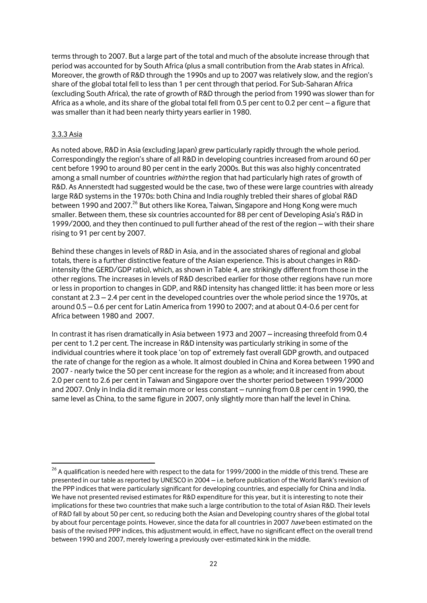terms through to 2007. But a large part of the total and much of the absolute increase through that period was accounted for by South Africa (plus a small contribution from the Arab states in Africa). Moreover, the growth of R&D through the 1990s and up to 2007 was relatively slow, and the region's share of the global total fell to less than 1 per cent through that period. For Sub-Saharan Africa (excluding South Africa), the rate of growth of R&D through the period from 1990 was slower than for Africa as a whole, and its share of the global total fell from 0.5 per cent to 0.2 per cent – a figure that was smaller than it had been nearly thirty years earlier in 1980.

#### 3.3.3 Asia

<span id="page-23-0"></span>1

As noted above, R&D in Asia (excluding Japan) grew particularly rapidly through the whole period. Correspondingly the region's share of all R&D in developing countries increased from around 60 per cent before 1990 to around 80 per cent in the early 2000s. But this was also highly concentrated among a small number of countries within the region that had particularly high rates of growth of R&D. As Annerstedt had suggested would be the case, two of these were large countries with already large R&D systems in the 1970s: both China and India roughly trebled their shares of global R&D between 1990 and 2007.<sup>26</sup> But others like Korea, Taiwan, Singapore and Hong Kong were much smaller. Between them, these six countries accounted for 88 per cent of Developing Asia's R&D in 1999/2000, and they then continued to pull further ahead of the rest of the region – with their share rising to 91 per cent by 2007.

Behind these changes in levels of R&D in Asia, and in the associated shares of regional and global totals, there is a further distinctive feature of the Asian experience. This is about changes in R&Dintensity (the GERD/GDP ratio), which, as shown in Table 4, are strikingly different from those in the other regions. The increases in levels of R&D described earlier for those other regions have run more or less in proportion to changes in GDP, and R&D intensity has changed little: it has been more or less constant at 2.3 – 2.4 per cent in the developed countries over the whole period since the 1970s, at around 0.5 – 0.6 per cent for Latin America from 1990 to 2007; and at about 0.4-0.6 per cent for Africa between 1980 and 2007.

In contrast it has risen dramatically in Asia between 1973 and 2007 – increasing threefold from 0.4 per cent to 1.2 per cent. The increase in R&D intensity was particularly striking in some of the individual countries where it took place 'on top of' extremely fast overall GDP growth, and outpaced the rate of change for the region as a whole. It almost doubled in China and Korea between 1990 and 2007 - nearly twice the 50 per cent increase for the region as a whole; and it increased from about 2.0 per cent to 2.6 per cent in Taiwan and Singapore over the shorter period between 1999/2000 and 2007. Only in India did it remain more or less constant – running from 0.8 per cent in 1990, the same level as China, to the same figure in 2007, only slightly more than half the level in China.

 $^{26}$  A qualification is needed here with respect to the data for 1999/2000 in the middle of this trend. These are presented in our table as reported by UNESCO in 2004 – i.e. before publication of the World Bank's revision of the PPP indices that were particularly significant for developing countries, and especially for China and India. We have not presented revised estimates for R&D expenditure for this year, but it is interesting to note their implications for these two countries that make such a large contribution to the total of Asian R&D. Their levels of R&D fall by about 50 per cent, so reducing both the Asian and Developing country shares of the global total by about four percentage points. However, since the data for all countries in 2007 have been estimated on the basis of the revised PPP indices, this adjustment would, in effect, have no significant effect on the overall trend between 1990 and 2007, merely lowering a previously over-estimated kink in the middle.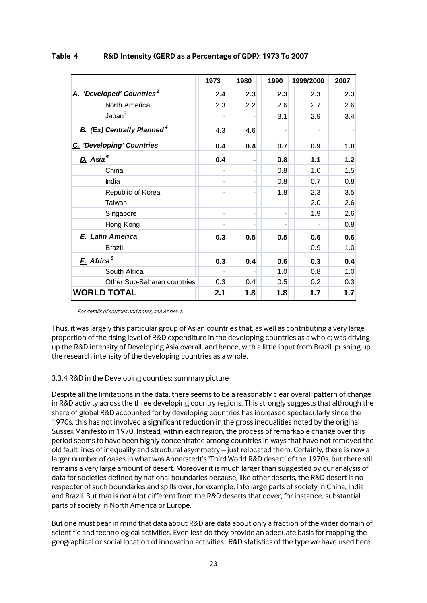|                                       |                                               | 1973 | 1980           | 1990           | 1999/2000 | 2007 |
|---------------------------------------|-----------------------------------------------|------|----------------|----------------|-----------|------|
| A. 'Developed' Countries <sup>2</sup> |                                               | 2.4  | 2.3            | 2.3            | 2.3       | 2.3  |
|                                       | North America                                 | 2.3  | 2.2            | 2.6            | 2.7       | 2.6  |
|                                       | Japan <sup>3</sup>                            |      |                | 3.1            | 2.9       | 3.4  |
|                                       | <b>B.</b> (Ex) Centrally Planned <sup>4</sup> | 4.3  | 4.6            |                |           |      |
|                                       | C. 'Developing' Countries                     | 0.4  | 0.4            | 0.7            | 0.9       | 1.0  |
| D. Asia <sup>5</sup>                  |                                               | 0.4  |                | 0.8            | 1.1       | 1.2  |
|                                       | China                                         |      |                | 0.8            | 1.0       | 1.5  |
|                                       | India                                         |      | -              | 0.8            | 0.7       | 0.8  |
|                                       | Republic of Korea                             | -    | $\overline{a}$ | 1.8            | 2.3       | 3.5  |
|                                       | Taiwan                                        |      | -              |                | 2.0       | 2.6  |
|                                       | Singapore                                     |      | -              | $\blacksquare$ | 1.9       | 2.6  |
|                                       | Hong Kong                                     |      |                |                |           | 0.8  |
|                                       | E. Latin America                              | 0.3  | 0.5            | 0.5            | 0.6       | 0.6  |
|                                       | <b>Brazil</b>                                 |      |                |                | 0.9       | 1.0  |
| F. Africa <sup>6</sup>                |                                               | 0.3  | 0.4            | 0.6            | 0.3       | 0.4  |
|                                       | South Africa                                  |      |                | 1.0            | 0.8       | 1.0  |
|                                       | Other Sub-Saharan countries                   | 0.3  | 0.4            | 0.5            | 0.2       | 0.3  |
|                                       | <b>WORLD TOTAL</b>                            | 2.1  | 1.8            | 1.8            | 1.7       | 1.7  |

#### **Table 4 R&D Intensity (GERD as a Percentage of GDP): 1973 To 2007**

For details of sources and notes, see Annex 1.

Thus, it was largely this particular group of Asian countries that, as well as contributing a very large proportion of the rising level of R&D expenditure in the developing countries as a whole; was driving up the R&D intensity of Developing Asia overall, and hence, with a little input from Brazil, pushing up the research intensity of the developing countries as a whole.

## 3.3.4 R&D in the Developing counties: summary picture

Despite all the limitations in the data, there seems to be a reasonably clear overall pattern of change in R&D activity across the three developing country regions. This strongly suggests that although the share of global R&D accounted for by developing countries has increased spectacularly since the 1970s, this has not involved a significant reduction in the gross inequalities noted by the original Sussex Manifesto in 1970. Instead, within each region, the process of remarkable change over this period seems to have been highly concentrated among countries in ways that have not removed the old fault lines of inequality and structural asymmetry – just relocated them. Certainly, there is now a larger number of oases in what was Annerstedt's 'Third World R&D desert' of the 1970s, but there still remains a very large amount of desert. Moreover it is much larger than suggested by our analysis of data for societies defined by national boundaries because, like other deserts, the R&D desert is no respecter of such boundaries and spills over, for example, into large parts of society in China, India and Brazil. But that is not a lot different from the R&D deserts that cover, for instance, substantial parts of society in North America or Europe.

But one must bear in mind that data about R&D are data about only a fraction of the wider domain of scientific and technological activities. Even less do they provide an adequate basis for mapping the geographical or social location of innovation activities. R&D statistics of the type we have used here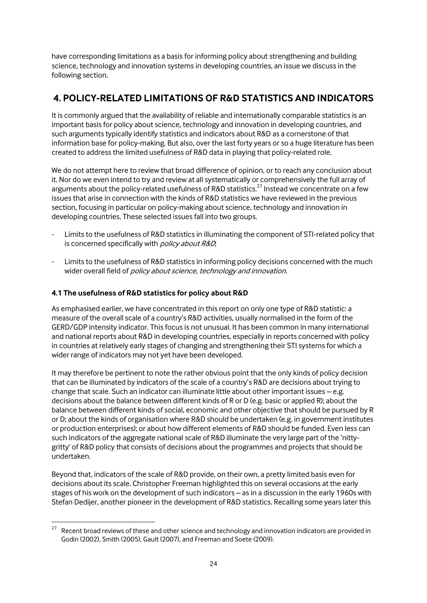have corresponding limitations as a basis for informing policy about strengthening and building science, technology and innovation systems in developing countries, an issue we discuss in the following section.

# **4. POLICY-RELATED LIMITATIONS OF R&D STATISTICS AND INDICATORS**

It is commonly argued that the availability of reliable and internationally comparable statistics is an important basis for policy about science, technology and innovation in developing countries, and such arguments typically identify statistics and indicators about R&D as a cornerstone of that information base for policy-making. But also, over the last forty years or so a huge literature has been created to address the limited usefulness of R&D data in playing that policy-related role.

We do not attempt here to review that broad difference of opinion, or to reach any conclusion about it. Nor do we even intend to try and review at all systematically or comprehensively the full array of arguments about the policy-related usefulness of R&D statistics.<sup>27</sup> Instead we concentrate on a few issues that arise in connection with the kinds of R&D statistics we have reviewed in the previous section, focusing in particular on policy-making about science, technology and innovation in developing countries. These selected issues fall into two groups.

- Limits to the usefulness of R&D statistics in illuminating the component of STI-related policy that is concerned specifically with policy about R&D,
- Limits to the usefulness of R&D statistics in informing policy decisions concerned with the much wider overall field of *policy about science, technology and innovation*.

## **4.1 The usefulness of R&D statistics for policy about R&D**

As emphasised earlier, we have concentrated in this report on only one type of R&D statistic: a measure of the overall scale of a country's R&D activities, usually normalised in the form of the GERD/GDP intensity indicator. This focus is not unusual. It has been common in many international and national reports about R&D in developing countries, especially in reports concerned with policy in countries at relatively early stages of changing and strengthening their STI systems for which a wider range of indicators may not yet have been developed.

It may therefore be pertinent to note the rather obvious point that the only kinds of policy decision that can be illuminated by indicators of the scale of a country's R&D are decisions about trying to change that scale. Such an indicator can illuminate little about other important issues  $-e.g.$ decisions about the balance between different kinds of R or D (e.g. basic or applied R); about the balance between different kinds of social, economic and other objective that should be pursued by R or D; about the kinds of organisation where R&D should be undertaken (e.g. in government institutes or production enterprises); or about how different elements of R&D should be funded. Even less can such indicators of the aggregate national scale of R&D illuminate the very large part of the 'nittygritty' of R&D policy that consists of decisions about the programmes and projects that should be undertaken.

Beyond that, indicators of the scale of R&D provide, on their own, a pretty limited basis even for decisions about its scale. Christopher Freeman highlighted this on several occasions at the early stages of his work on the development of such indicators – as in a discussion in the early 1960s with Stefan Dedijer, another pioneer in the development of R&D statistics. Recalling some years later this

<sup>27</sup> Recent broad reviews of these and other science and technology and innovation indicators are provided in Godin (2002), Smith (2005), Gault (2007), and Freeman and Soete (2009).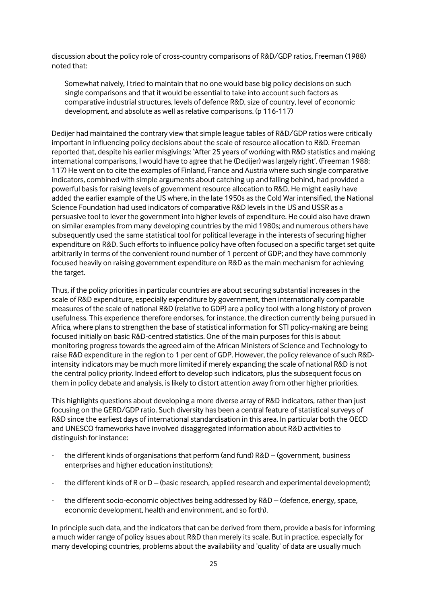discussion about the policy role of cross-country comparisons of R&D/GDP ratios, Freeman (1988) noted that:

Somewhat naively, I tried to maintain that no one would base big policy decisions on such single comparisons and that it would be essential to take into account such factors as comparative industrial structures, levels of defence R&D, size of country, level of economic development, and absolute as well as relative comparisons. (p 116-117)

Dedijer had maintained the contrary view that simple league tables of R&D/GDP ratios were critically important in influencing policy decisions about the scale of resource allocation to R&D. Freeman reported that, despite his earlier misgivings: 'After 25 years of working with R&D statistics and making international comparisons, I would have to agree that he (Dedijer) was largely right'. (Freeman 1988: 117) He went on to cite the examples of Finland, France and Austria where such single comparative indicators, combined with simple arguments about catching up and falling behind, had provided a powerful basis for raising levels of government resource allocation to R&D. He might easily have added the earlier example of the US where, in the late 1950s as the Cold War intensified, the National Science Foundation had used indicators of comparative R&D levels in the US and USSR as a persuasive tool to lever the government into higher levels of expenditure. He could also have drawn on similar examples from many developing countries by the mid 1980s; and numerous others have subsequently used the same statistical tool for political leverage in the interests of securing higher expenditure on R&D. Such efforts to influence policy have often focused on a specific target set quite arbitrarily in terms of the convenient round number of 1 percent of GDP; and they have commonly focused heavily on raising government expenditure on R&D as the main mechanism for achieving the target.

Thus, if the policy priorities in particular countries are about securing substantial increases in the scale of R&D expenditure, especially expenditure by government, then internationally comparable measures of the scale of national R&D (relative to GDP) are a policy tool with a long history of proven usefulness. This experience therefore endorses, for instance, the direction currently being pursued in Africa, where plans to strengthen the base of statistical information for STI policy-making are being focused initially on basic R&D-centred statistics. One of the main purposes for this is about monitoring progress towards the agreed aim of the African Ministers of Science and Technology to raise R&D expenditure in the region to 1 per cent of GDP. However, the policy relevance of such R&Dintensity indicators may be much more limited if merely expanding the scale of national R&D is not the central policy priority. Indeed effort to develop such indicators, plus the subsequent focus on them in policy debate and analysis, is likely to distort attention away from other higher priorities.

This highlights questions about developing a more diverse array of R&D indicators, rather than just focusing on the GERD/GDP ratio. Such diversity has been a central feature of statistical surveys of R&D since the earliest days of international standardisation in this area. In particular both the OECD and UNESCO frameworks have involved disaggregated information about R&D activities to distinguish for instance:

- the different kinds of organisations that perform (and fund) R&D (government, business enterprises and higher education institutions);
- the different kinds of R or D (basic research, applied research and experimental development);
- the different socio-economic objectives being addressed by R&D (defence, energy, space, economic development, health and environment, and so forth).

In principle such data, and the indicators that can be derived from them, provide a basis for informing a much wider range of policy issues about R&D than merely its scale. But in practice, especially for many developing countries, problems about the availability and 'quality' of data are usually much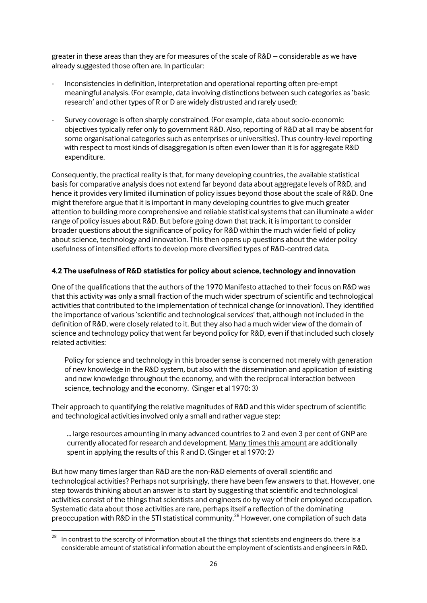greater in these areas than they are for measures of the scale of R&D – considerable as we have already suggested those often are. In particular:

- Inconsistencies in definition, interpretation and operational reporting often pre-empt meaningful analysis. (For example, data involving distinctions between such categories as 'basic research' and other types of R or D are widely distrusted and rarely used);
- Survey coverage is often sharply constrained. (For example, data about socio-economic objectives typically refer only to government R&D. Also, reporting of R&D at all may be absent for some organisational categories such as enterprises or universities). Thus country-level reporting with respect to most kinds of disaggregation is often even lower than it is for aggregate R&D expenditure.

Consequently, the practical reality is that, for many developing countries, the available statistical basis for comparative analysis does not extend far beyond data about aggregate levels of R&D, and hence it provides very limited illumination of policy issues beyond those about the scale of R&D. One might therefore argue that it is important in many developing countries to give much greater attention to building more comprehensive and reliable statistical systems that can illuminate a wider range of policy issues about R&D. But before going down that track, it is important to consider broader questions about the significance of policy for R&D within the much wider field of policy about science, technology and innovation. This then opens up questions about the wider policy usefulness of intensified efforts to develop more diversified types of R&D-centred data.

#### **4.2 The usefulness of R&D statistics for policy about science, technology and innovation**

One of the qualifications that the authors of the 1970 Manifesto attached to their focus on R&D was that this activity was only a small fraction of the much wider spectrum of scientific and technological activities that contributed to the implementation of technical change (or innovation). They identified the importance of various 'scientific and technological services' that, although not included in the definition of R&D, were closely related to it. But they also had a much wider view of the domain of science and technology policy that went far beyond policy for R&D, even if that included such closely related activities:

Policy for science and technology in this broader sense is concerned not merely with generation of new knowledge in the R&D system, but also with the dissemination and application of existing and new knowledge throughout the economy, and with the reciprocal interaction between science, technology and the economy. (Singer et al 1970: 3)

Their approach to quantifying the relative magnitudes of R&D and this wider spectrum of scientific and technological activities involved only a small and rather vague step:

… large resources amounting in many advanced countries to 2 and even 3 per cent of GNP are currently allocated for research and development. Many times this amount are additionally spent in applying the results of this R and D. (Singer et al 1970: 2)

But how many times larger than R&D are the non-R&D elements of overall scientific and technological activities? Perhaps not surprisingly, there have been few answers to that. However, one step towards thinking about an answer is to start by suggesting that scientific and technological activities consist of the things that scientists and engineers do by way of their employed occupation. Systematic data about those activities are rare, perhaps itself a reflection of the dominating preoccupation with R&D in the STI statistical community.<sup>28</sup> However, one compilation of such data

1

In contrast to the scarcity of information about all the things that scientists and engineers do, there is a considerable amount of statistical information about the employment of scientists and engineers in R&D.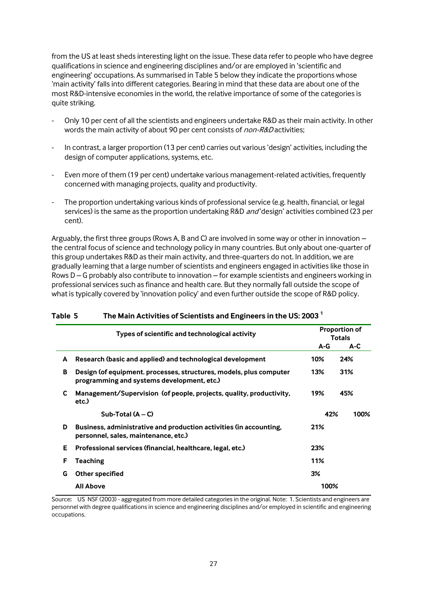from the US at least sheds interesting light on the issue. These data refer to people who have degree qualifications in science and engineering disciplines and/or are employed in 'scientific and engineering' occupations. As summarised in Table 5 below they indicate the proportions whose 'main activity' falls into different categories. Bearing in mind that these data are about one of the most R&D-intensive economies in the world, the relative importance of some of the categories is quite striking.

- Only 10 per cent of all the scientists and engineers undertake R&D as their main activity. In other words the main activity of about 90 per cent consists of *non-R&D* activities;
- In contrast, a larger proportion (13 per cent) carries out various 'design' activities, including the design of computer applications, systems, etc.
- Even more of them (19 per cent) undertake various management-related activities, frequently concerned with managing projects, quality and productivity.
- The proportion undertaking various kinds of professional service (e.g. health, financial, or legal services) is the same as the proportion undertaking R&D *and* 'design' activities combined (23 per cent).

Arguably, the first three groups (Rows A, B and C) are involved in some way or other in innovation – the central focus of science and technology policy in many countries. But only about one-quarter of this group undertakes R&D as their main activity, and three-quarters do not. In addition, we are gradually learning that a large number of scientists and engineers engaged in activities like those in Rows D – G probably also contribute to innovation – for example scientists and engineers working in professional services such as finance and health care. But they normally fall outside the scope of what is typically covered by 'innovation policy' and even further outside the scope of R&D policy.

|   | Types of scientific and technological activity                                                                   |       | <b>Proportion of</b><br><b>Totals</b> |
|---|------------------------------------------------------------------------------------------------------------------|-------|---------------------------------------|
|   |                                                                                                                  | $A-G$ | A-C                                   |
| A | Research (basic and applied) and technological development                                                       | 10%   | 24%                                   |
| B | Design (of equipment. processes, structures, models, plus computer<br>programming and systems development, etc.) | 13%   | 31%                                   |
| C | Management/Supervision (of people, projects, quality, productivity,<br>etc.)                                     | 19%   | 45%                                   |
|   | Sub-Total $(A - C)$                                                                                              | 42%   | 100%                                  |
| D | Business, administrative and production activities (in accounting,<br>personnel, sales, maintenance, etc.)       | 21%   |                                       |
| Е | Professional services (financial, healthcare, legal, etc.)                                                       | 23%   |                                       |
| F | <b>Teaching</b>                                                                                                  | 11%   |                                       |
| G | Other specified                                                                                                  | 3%    |                                       |
|   | <b>All Above</b>                                                                                                 | 100%  |                                       |

<span id="page-28-0"></span>

| Table 5 | The Main Activities of Scientists and Engineers in the US: 2003 $^1$ |
|---------|----------------------------------------------------------------------|
|         |                                                                      |

Source**:** US NSF (2003) - aggregated from more detailed categories in the original. Note: 1. Scientists and engineers are personnel with degree qualifications in science and engineering disciplines and/or employed in scientific and engineering occupations.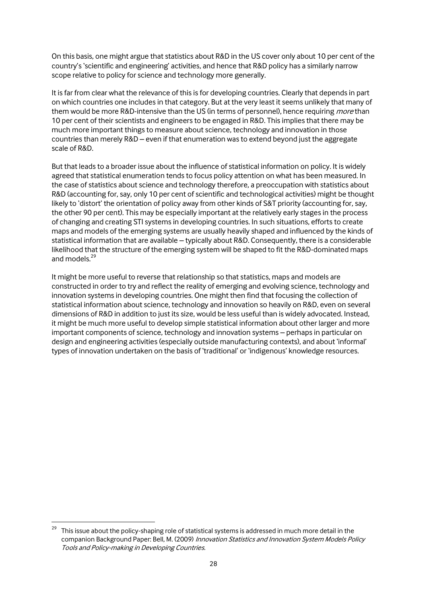On this basis, one might argue that statistics about R&D in the US cover only about 10 per cent of the country's 'scientific and engineering' activities, and hence that R&D policy has a similarly narrow scope relative to policy for science and technology more generally.

It is far from clear what the relevance of this is for developing countries. Clearly that depends in part on which countries one includes in that category. But at the very least it seems unlikely that many of them would be more R&D-intensive than the US (in terms of personnel), hence requiring *more* than 10 per cent of their scientists and engineers to be engaged in R&D. This implies that there may be much more important things to measure about science, technology and innovation in those countries than merely R&D – even if that enumeration was to extend beyond just the aggregate scale of R&D.

But that leads to a broader issue about the influence of statistical information on policy. It is widely agreed that statistical enumeration tends to focus policy attention on what has been measured. In the case of statistics about science and technology therefore, a preoccupation with statistics about R&D (accounting for, say, only 10 per cent of scientific and technological activities) might be thought likely to 'distort' the orientation of policy away from other kinds of S&T priority (accounting for, say, the other 90 per cent). This may be especially important at the relatively early stages in the process of changing and creating STI systems in developing countries. In such situations, efforts to create maps and models of the emerging systems are usually heavily shaped and influenced by the kinds of statistical information that are available – typically about R&D. Consequently, there is a considerable likelihood that the structure of the emerging system will be shaped to fit the R&D-dominated maps and models.<sup>29</sup>

It might be more useful to reverse that relationship so that statistics, maps and models are constructed in order to try and reflect the reality of emerging and evolving science, technology and innovation systems in developing countries. One might then find that focusing the collection of statistical information about science, technology and innovation so heavily on R&D, even on several dimensions of R&D in addition to just its size, would be less useful than is widely advocated. Instead, it might be much more useful to develop simple statistical information about other larger and more important components of science, technology and innovation systems – perhaps in particular on design and engineering activities (especially outside manufacturing contexts), and about 'informal' types of innovation undertaken on the basis of 'traditional' or 'indigenous' knowledge resources.

<sup>29</sup> This issue about the policy-shaping role of statistical systems is addressed in much more detail in the companion Background Paper: Bell, M. (2009) Innovation Statistics and Innovation System Models Policy Tools and Policy-making in Developing Countries.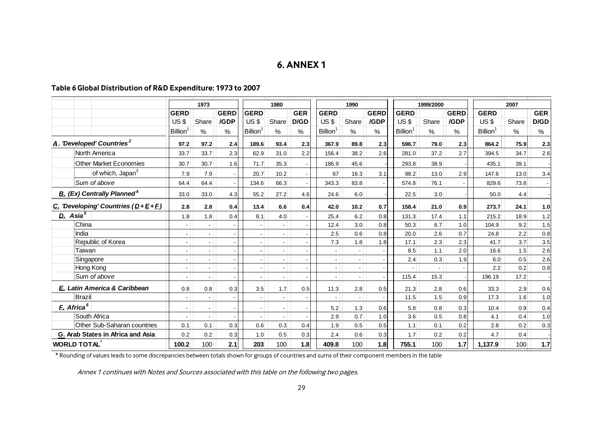# **6. ANNEX 1**

## **Table 6Global Distribution of R&D Expenditure: 1973 to 2007**

|                                                       |                                               | 1973                     |                |             | 1980           |               |            | 1990               |                          |             | 1999/2000      |       |             | 2007           |       |            |
|-------------------------------------------------------|-----------------------------------------------|--------------------------|----------------|-------------|----------------|---------------|------------|--------------------|--------------------------|-------------|----------------|-------|-------------|----------------|-------|------------|
|                                                       |                                               | <b>GERD</b>              |                | <b>GERD</b> | <b>GERD</b>    |               | <b>GER</b> | <b>GERD</b>        |                          | <b>GERD</b> | <b>GERD</b>    |       | <b>GERD</b> | <b>GERD</b>    |       | <b>GER</b> |
|                                                       |                                               | US \$                    | Share          | /GDP        | US\$           | Share         | D/GD       | US\$               | Share                    | /GDP        | US\$           | Share | /GDP        | US\$           | Share | D/GD       |
|                                                       |                                               | <b>Billion</b>           | $\%$           | $\%$        | <b>Billion</b> | $\frac{0}{0}$ | %          | <b>Billion</b>     | $\%$                     | ℅           | <b>Billion</b> | $\%$  | $\%$        | <b>Billion</b> | $\%$  | $\%$       |
| $\boldsymbol{A}$ . 'Developed' Countries <sup>2</sup> |                                               | 97.2                     | 97.2           | 2.4         | 189.6          | 93.4          | 2.3        | 367.9              | 89.8                     | 2.3         | 596.7          | 79.0  | 2.3         | 864.2          | 75.9  | 2.3        |
|                                                       | North America                                 | 33.7                     | 33.7           | 2.3         | 62.9           | 31.0          | 2.2        | 156.4              | 38.2                     | 2.6         | 281.0          | 37.2  | 2.7         | 394.5          | 34.7  | 2.6        |
|                                                       | <b>Other Market Economies</b>                 | 30.7                     | 30.7           | 1.6         | 71.7           | 35.3          |            | 186.9              | 45.6                     |             | 293.8          | 38.9  |             | 435.1          | 39.1  |            |
|                                                       | of which, Japan <sup>3</sup>                  | 7.9                      | 7.9            |             | 20.7           | 10.2          |            | 67                 | 16.3                     | 3.1         | 98.2           | 13.0  | 2.9         | 147.6          | 13.0  | 3.4        |
|                                                       | Sum of above                                  | 64.4                     | 64.4           |             | 134.6          | 66.3          |            | 343.3              | 83.8                     |             | 574.8          | 76.1  |             | 829.6          | 73.8  |            |
|                                                       | <b>B.</b> (Ex) Centrally Planned <sup>4</sup> | 33.0                     | 33.0           | 4.3         | 55.2           | 27.2          | 4.6        | 24.6               | 6.0                      |             | 22.5           | 3.0   |             | 50.0           | 4.4   |            |
| C. 'Developing' Countries $(D+E+F)$                   |                                               | 2.8                      | 2.8            | 0.4         | 13.4           | 6.6           | 0.4        | 42.0               | 10.2                     | 0.7         | 158.4          | 21.0  | 0.9         | 273.7          | 24.1  | 1.0        |
| D. Asia <sup>5</sup>                                  |                                               | 1.8                      | 1.8            | 0.4         | 8.1            | 4.0           |            | 25.4               | 6.2                      | 0.8         | 131.3          | 17.4  | 1.1         | 215.2          | 18.9  | 1.2        |
|                                                       | China                                         | $\overline{\phantom{a}}$ |                |             |                |               |            | 12.4               | 3.0                      | 0.8         | 50.3           | 6.7   | 1.0         | 104.9          | 9.2   | 1.5        |
| India                                                 |                                               | $\overline{\phantom{0}}$ |                |             |                |               |            | 2.5                | 0.6                      | 0.8         | 20.0           | 2.6   | 0.7         | 24.8           | 2.2   | 0.8        |
|                                                       | Republic of Korea                             | $\mathbb{R}^+$           | $-1$           |             |                |               |            | 7.3                | 1.8                      | 1.8         | 17.1           | 2.3   | 2.3         | 41.7           | 3.7   | 3.5        |
|                                                       | Taiwan                                        | $\overline{\phantom{a}}$ |                |             |                |               |            | $\blacksquare$     |                          |             | 8.5            | 1.1   | 2.0         | 16.6           | 1.5   | 2.6        |
|                                                       | Singapore                                     | ΩJ                       | <u>ال</u>      |             |                |               |            | $\overline{a}$     | ΩJ.                      |             | 2.4            | 0.3   | 1.9         | 6.0            | 0.5   | 2.6        |
|                                                       | Hong Kong                                     | $\overline{\phantom{0}}$ | $\blacksquare$ |             |                |               |            | $\sim$ $^{\prime}$ | $\overline{\phantom{a}}$ |             |                |       |             | 2.2            | 0.2   | 0.8        |
|                                                       | Sum of above                                  | 41                       | - 1            |             |                |               |            | $\sim$ $^{-1}$     | $\Box$                   |             | 115.4          | 15.3  |             | 196.19         | 17.2  |            |
|                                                       | E. Latin America & Caribbean                  | 0.8                      | 0.8            | 0.3         | 3.5            | 1.7           | 0.5        | 11.3               | 2.8                      | 0.5         | 21.3           | 2.8   | 0.6         | 33.3           | 2.9   | 0.6        |
|                                                       | <b>Brazil</b>                                 | $\blacksquare$           |                |             |                |               |            | $\sim$             |                          |             | 11.5           | 1.5   | 0.9         | 17.3           | 1.6   | 1.0        |
| E. Africa <sup>6</sup>                                |                                               | $\overline{\phantom{a}}$ |                |             |                |               |            | 5.2                | 1.3                      | 0.6         | 5.8            | 0.8   | 0.3         | 10.4           | 0.9   | 0.4        |
|                                                       | South Africa                                  |                          |                |             |                |               |            | 2.9                | 0.7                      | 1.0         | 3.6            | 0.5   | 0.8         | 4.1            | 0.4   | 1.0        |
|                                                       | Other Sub-Saharan countries                   | 0.1                      | 0.1            | 0.3         | 0.6            | 0.3           | 0.4        | 1.9                | 0.5                      | 0.5         | 1.1            | 0.1   | 0.2         | 2.8            | 0.2   | 0.3        |
|                                                       | G. Arab States in Africa and Asia             | 0.2                      | 0.2            | 0.3         | 1.0            | 0.5           | 0.3        | 2.4                | 0.6                      | 0.3         | 1.7            | 0.2   | 0.2         | 4.7            | 0.4   |            |
| <b>WORLD TOTAL</b>                                    |                                               | 100.2                    | 100            | 2.1         | 203            | 100           | 1.8        | 409.8              | 100                      | 1.8         | 755.1          | 100   | 1.7         | 1,137.9        | 100   | 1.7        |

<span id="page-30-0"></span>\* Rounding of values leads to some discrepancies between totals shown for groups of countries and sums of their component members in the table

Annex 1 continues with Notes and Sources associated with this table on the following two pages.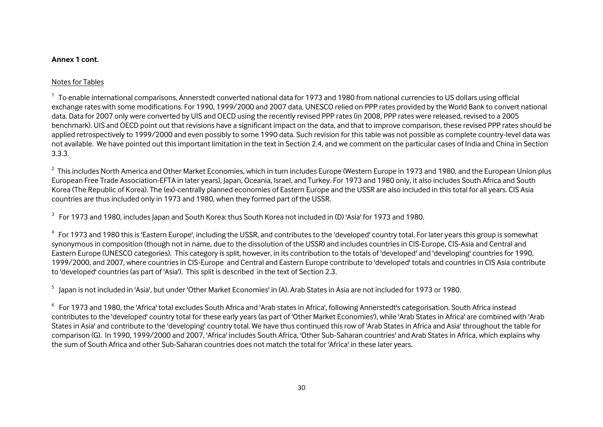#### **Annex 1 cont.**

#### Notes for Tables

 $1$  To enable international comparisons, Annerstedt converted national data for 1973 and 1980 from national currencies to US dollars using official exchange rates with some modifications. For 1990, 1999/2000 and 2007 data, UNESCO relied on PPP rates provided by the World Bank to convert national data. Data for 2007 only were converted by UIS and OECD using the recently revised PPP rates (in 2008, PPP rates were released, revised to a 2005 benchmark). UIS and OECD point out that revisions have a significant impact on the data, and that to improve comparison, these revised PPP rates should be applied retrospectively to 1999/2000 and even possibly to some 1990 data. Such revision for this table was not possible as complete country-level data was not available. We have pointed out this important limitation in the text in Section 2.4, and we comment on the particular cases of India and China in Section 3.3.3.

<sup>2</sup> This includes North America and Other Market Economies, which in turn includes Europe (Western Europe in 1973 and 1980, and the European Union plus European Free Trade Association-EFTA in later years), Japan, Oceania, Israel, and Turkey. For 1973 and 1980 only, it also includes South Africa and South Korea (The Republic of Korea). The (ex)-centrally planned economies of Eastern Europe and the USSR are also included in this total for all years. CIS Asia countries are thus included only in 1973 and 1980, when they formed part of the USSR.

 $^3$  For 1973 and 1980, includes Japan and South Korea: thus South Korea not included in (D) 'Asia' for 1973 and 1980.

<sup>4</sup> For 1973 and 1980 this is 'Eastern Europe', including the USSR, and contributes to the 'developed' country total. For later years this group is somewhat synonymous in composition (though not in name, due to the dissolution of the USSR) and includes countries in CIS-Europe, CIS-Asia and Central and Eastern Europe (UNESCO categories). This category is split, however, in its contribution to the totals of 'developed' and 'developing' countries for 1990, 1999/2000, and 2007, where countries in CIS-Europe and Central and Eastern Europe contribute to 'developed' totals and countries in CIS Asia contribute to 'developed' countries (as part of 'Asia'). This split is described in the text of Section 2.3.

<sup>5</sup> Japan is not included in 'Asia', but under 'Other Market Economies' in (A). Arab States in Asia are not included for 1973 or 1980.

 $^6$  For 1973 and 1980, the 'Africa' total excludes South Africa and 'Arab states in Africa', following Annerstedt's categorisation. South Africa instead contributes to the 'developed' country total for these early years (as part of 'Other Market Economies'), while 'Arab States in Africa' are combined with 'Arab States in Asia' and contribute to the 'developing' country total. We have thus continued this row of 'Arab States in Africa and Asia' throughout the table for comparison (G). In 1990, 1999/2000 and 2007, 'Africa' includes South Africa, 'Other Sub-Saharan countries' and Arab States in Africa, which explains why the sum of South Africa and other Sub-Saharan countries does not match the total for 'Africa' in these later years.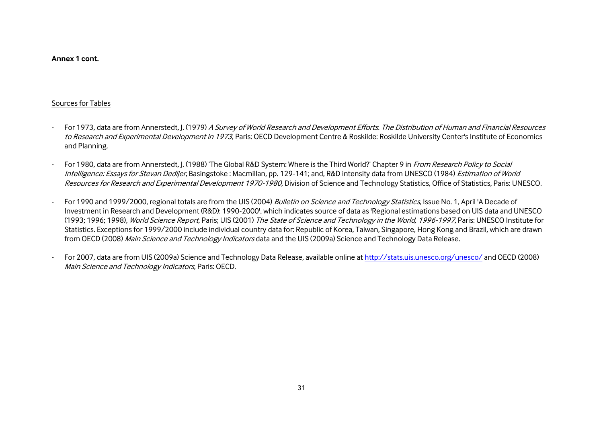**Annex 1 cont.** 

#### Sources for Tables

- For 1973, data are from Annerstedt, J. (1979) A Survey of World Research and Development Efforts. The Distribution of Human and Financial Resources to Research and Experimental Development in 1973. Paris: OECD Development Centre & Roskilde: Roskilde University Center's Institute of Economics and Planning.
- For 1980, data are from Annerstedt, J. (1988) 'The Global R&D System: Where is the Third World?' Chapter 9 in From Research Policy to Social Intelligence: Essays for Stevan Dedijer, Basingstoke: Macmillan, pp. 129-141; and, R&D intensity data from UNESCO (1984) Estimation of World Resources for Research and Experimental Development 1970-1980, Division of Science and Technology Statistics, Office of Statistics, Paris: UNESCO.
- For 1990 and 1999/2000, regional totals are from the UIS (2004) Bulletin on Science and Technology Statistics, Issue No. 1, April 'A Decade of Investment in Research and Development (R&D): 1990-2000', which indicates source of data as 'Regional estimations based on UIS data and UNESCO (1993; 1996; 1998), World Science Report, Paris; UIS (2001) The State of Science and Technology in the World, 1996-1997, Paris: UNESCO Institute for Statistics. Exceptions for 1999/2000 include individual country data for: Republic of Korea, Taiwan, Singapore, Hong Kong and Brazil, which are drawn from OECD (2008) Main Science and Technology Indicators data and the UIS (2009a) Science and Technology Data Release.
- For 2007, data are from UIS (2009a) Science and Technology Data Release, available online at<http://stats.uis.unesco.org/unesco/> and OECD (2008) Main Science and Technology Indicators, Paris: OECD.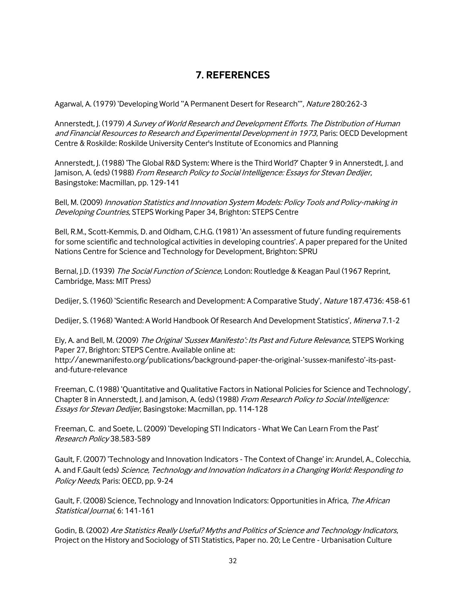# **7. REFERENCES**

Agarwal, A. (1979) 'Developing World "A Permanent Desert for Research"', Nature 280:262-3

Annerstedt, J. (1979) A Survey of World Research and Development Efforts. The Distribution of Human and Financial Resources to Research and Experimental Development in 1973, Paris: OECD Development Centre & Roskilde: Roskilde University Center's Institute of Economics and Planning

Annerstedt, J. (1988) 'The Global R&D System: Where is the Third World?' Chapter 9 in Annerstedt, J. and Jamison, A. (eds) (1988) From Research Policy to Social Intelligence: Essays for Stevan Dedijer, Basingstoke: Macmillan, pp. 129-141

Bell, M. (2009) Innovation Statistics and Innovation System Models: Policy Tools and Policy-making in Developing Countries, STEPS Working Paper 34, Brighton: STEPS Centre

Bell, R.M., Scott-Kemmis, D. and Oldham, C.H.G. (1981) 'An assessment of future funding requirements for some scientific and technological activities in developing countries'. A paper prepared for the United Nations Centre for Science and Technology for Development, Brighton: SPRU

Bernal, J.D. (1939) The Social Function of Science, London: Routledge & Keagan Paul (1967 Reprint, Cambridge, Mass: MIT Press)

Dedijer, S. (1960) 'Scientific Research and Development: A Comparative Study', Nature 187.4736: 458-61

Dedijer, S. (1968) 'Wanted: A World Handbook Of Research And Development Statistics', Minerva 7.1-2

Ely, A. and Bell, M. (2009) The Original 'Sussex Manifesto': Its Past and Future Relevance, STEPS Working Paper 27, Brighton: STEPS Centre. Available online at: <http://anewmanifesto.org/publications/background-paper-the-original->'sussex-manifesto'-its-past[and-future-relevance](http://anewmanifesto.org/publications/background-paper-the-original-)

Freeman, C. (1988) 'Quantitative and Qualitative Factors in National Policies for Science and Technology', Chapter 8 in Annerstedt, J. and Jamison, A. (eds) (1988) From Research Policy to Social Intelligence: Essays for Stevan Dedijer, Basingstoke: Macmillan, pp. 114-128

Freeman, C. and Soete, L. (2009) 'Developing STI Indicators - What We Can Learn From the Past' Research Policy 38.583-589

Gault, F. (2007) 'Technology and Innovation Indicators - The Context of Change' in: Arundel, A., Colecchia, A. and F.Gault (eds) Science, Technology and Innovation Indicators in a Changing World: Responding to Policy Needs, Paris: OECD, pp. 9-24

Gault, F. (2008) Science, Technology and Innovation Indicators: Opportunities in Africa, The African Statistical Journal, 6: 141-161

Godin, B. (2002) Are Statistics Really Useful? Myths and Politics of Science and Technology Indicators, Project on the History and Sociology of STI Statistics, Paper no. 20; Le Centre - Urbanisation Culture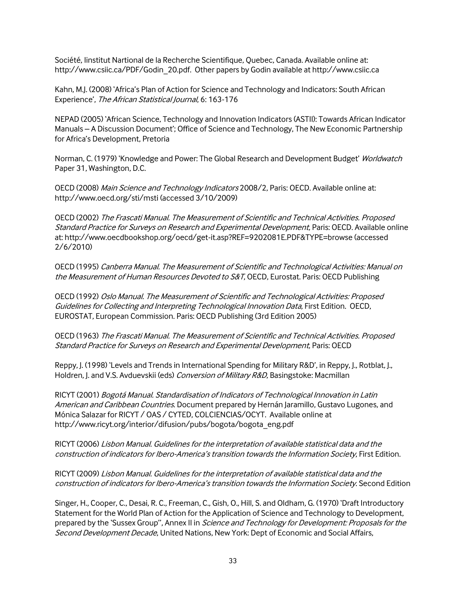Société, Iinstitut Nartional de la Recherche Scientifique, Quebec, Canada. Available online at: [http://www.csiic.ca/PDF/Godin\\_20.pdf.](http://www.csiic.ca/PDF/Godin_20.pdf) Other papers by Godin available at http:/[/www.csiic.ca](http://www.csiic.ca/)

Kahn, M.J. (2008) 'Africa's Plan of Action for Science and Technology and Indicators: South African Experience', The African Statistical Journal, 6: 163-176

NEPAD (2005) 'African Science, Technology and Innovation Indicators (ASTII): Towards African Indicator Manuals – A Discussion Document'; Office of Science and Technology, The New Economic Partnership for Africa's Development, Pretoria

Norman, C. (1979) 'Knowledge and Power: The Global Research and Development Budget' Worldwatch Paper 31, Washington, D.C.

OECD (2008) Main Science and Technology Indicators 2008/2, Paris: OECD. Available online at: http:/[/www.oecd.org/sti/msti](http://www.oecd.org/sti/msti) (accessed 3/10/2009)

OECD (2002) The Frascati Manual. The Measurement of Scientific and Technical Activities. Proposed Standard Practice for Surveys on Research and Experimental Development, Paris: OECD. Available online at:<http://www.oecdbookshop.org/oecd/get-it.asp?REF=9202081E.PDF&TYPE=browse> (accessed 2/6/2010)

OECD (1995) Canberra Manual. The Measurement of Scientific and Technological Activities: Manual on the Measurement of Human Resources Devoted to S&T, OECD, Eurostat. Paris: OECD Publishing

OECD (1992) Oslo Manual. The Measurement of Scientific and Technological Activities: Proposed Guidelines for Collecting and Interpreting Technological Innovation Data, First Edition. OECD, EUROSTAT, European Commission. Paris: OECD Publishing (3rd Edition 2005)

OECD (1963) The Frascati Manual. The Measurement of Scientific and Technical Activities. Proposed Standard Practice for Surveys on Research and Experimental Development, Paris: OECD

Reppy, J. (1998) 'Levels and Trends in International Spending for Military R&D', in Reppy, J., Rotblat, J., Holdren, J. and V.S. Avduevskii (eds) Conversion of Military R&D, Basingstoke: Macmillan

RICYT (2001) Bogotá Manual. Standardisation of Indicators of Technological Innovation in Latin American and Caribbean Countries. Document prepared by Hernán Jaramillo, Gustavo Lugones, and Mónica Salazar for RICYT / OAS / CYTED, COLCIENCIAS/OCYT. Available online at [http://www.ricyt.org/interior/difusion/pubs/bogota/bogota\\_eng.pdf](http://www.ricyt.org/interior/difusion/pubs/bogota/bogota_eng.pdf)

RICYT (2006) Lisbon Manual. Guidelines for the interpretation of available statistical data and the construction of indicators for Ibero-America's transition towards the Information Society, First Edition.

RICYT (2009) Lisbon Manual. Guidelines for the interpretation of available statistical data and the construction of indicators for Ibero-America's transition towards the Information Society. Second Edition

Singer, H., Cooper, C., Desai, R. C., Freeman, C., Gish, O., Hill, S. and Oldham, G. (1970) 'Draft Introductory Statement for the World Plan of Action for the Application of Science and Technology to Development, prepared by the 'Sussex Group", Annex II in Science and Technology for Development: Proposals for the Second Development Decade, United Nations, New York: Dept of Economic and Social Affairs,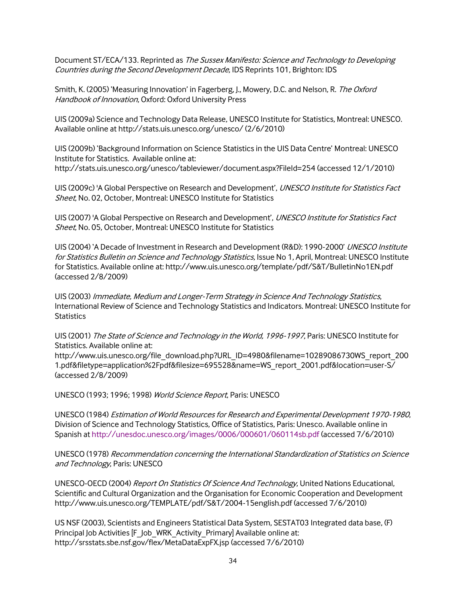Document ST/ECA/133. Reprinted as The Sussex Manifesto: Science and Technology to Developing Countries during the Second Development Decade, IDS Reprints 101, Brighton: IDS

Smith, K. (2005) 'Measuring Innovation' in Fagerberg, J., Mowery, D.C. and Nelson, R. The Oxford Handbook of Innovation, Oxford: Oxford University Press

UIS (2009a) Science and Technology Data Release, UNESCO Institute for Statistics, Montreal: UNESCO. Available online a[t http://stats.uis.unesco.org/unesco/](http://stats.uis.unesco.org/unesco/) (2/6/2010)

UIS (2009b) 'Background Information on Science Statistics in the UIS Data Centre' Montreal: UNESCO Institute for Statistics. Available online at: <http://stats.uis.unesco.org/unesco/tableviewer/document.aspx?FileId=254> (accessed 12/1/2010)

UIS (2009c) 'A Global Perspective on Research and Development', UNESCO Institute for Statistics Fact Sheet, No. 02, October, Montreal: UNESCO Institute for Statistics

UIS (2007) 'A Global Perspective on Research and Development', UNESCO Institute for Statistics Fact Sheet, No. 05, October, Montreal: UNESCO Institute for Statistics

UIS (2004) 'A Decade of Investment in Research and Development (R&D): 1990-2000' UNESCO Institute for Statistics Bulletin on Science and Technology Statistics, Issue No 1, April, Montreal: UNESCO Institute for Statistics. Available online at[: http://www.uis.unesco.org/template/pdf/S&T/BulletinNo1EN.pdf](http://www.uis.unesco.org/template/pdf/S&T/BulletinNo1EN.pdf)  (accessed 2/8/2009)

UIS (2003) Immediate, Medium and Longer-Term Strategy in Science And Technology Statistics, International Review of Science and Technology Statistics and Indicators. Montreal: UNESCO Institute for **Statistics** 

UIS (2001) The State of Science and Technology in the World, 1996-1997, Paris: UNESCO Institute for Statistics. Available online at:

[http://www.uis.unesco.org/file\\_download.php?URL\\_ID=4980&filename=10289086730WS\\_report\\_200](http://www.uis.unesco.org/file_download.php?URL_ID=4980&filename=10289086730WS_report_2001.pdf&filetype=application%2Fpdf&filesize=695528&name=WS_report_2001.pdf&location=user-S/) [1.pdf&filetype=application%2Fpdf&filesize=695528&name=WS\\_report\\_2001.pdf&location=user-S/](http://www.uis.unesco.org/file_download.php?URL_ID=4980&filename=10289086730WS_report_2001.pdf&filetype=application%2Fpdf&filesize=695528&name=WS_report_2001.pdf&location=user-S/) (accessed 2/8/2009)

UNESCO (1993; 1996; 1998) World Science Report, Paris: UNESCO

UNESCO (1984) Estimation of World Resources for Research and Experimental Development 1970-1980, Division of Science and Technology Statistics, Office of Statistics, Paris: Unesco. Available online in Spanish a[t http://unesdoc.unesco.org/images/0006/000601/060114sb.pdf](http://unesdoc.unesco.org/images/0006/000601/060114sb.pdf) (accessed 7/6/2010)

UNESCO (1978) Recommendation concerning the International Standardization of Statistics on Science and Technology, Paris: UNESCO

UNESCO-OECD (2004) Report On Statistics Of Science And Technology, United Nations Educational, Scientific and Cultural Organization and the Organisation for Economic Cooperation and Development <http://www.uis.unesco.org/TEMPLATE/pdf/S&T/2004-15english.pdf> (accessed 7/6/2010)

US NSF (2003), Scientists and Engineers Statistical Data System, SESTAT03 Integrated data base, (F) Principal Job Activities [F\_Job\_WRK\_Activity\_Primary] Available online at: <http://srsstats.sbe.nsf.gov/flex/MetaDataExpFX.jsp> (accessed 7/6/2010)